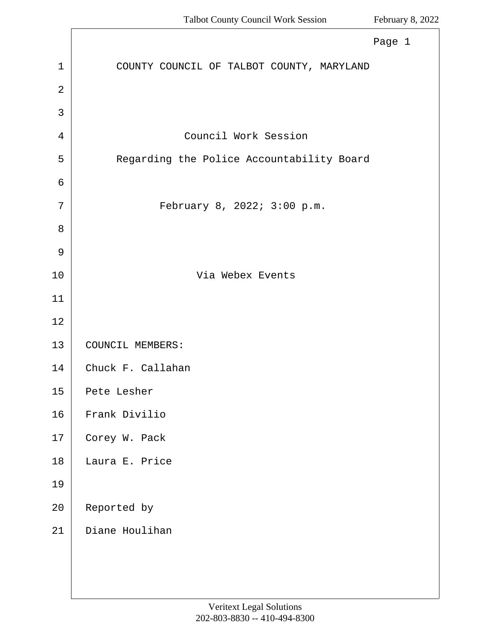<span id="page-0-0"></span>

|                | Page 1                                    |
|----------------|-------------------------------------------|
| $\mathbf{1}$   | COUNTY COUNCIL OF TALBOT COUNTY, MARYLAND |
| $\overline{2}$ |                                           |
| 3              |                                           |
| 4              | Council Work Session                      |
| 5              | Regarding the Police Accountability Board |
| 6              |                                           |
| 7              | February 8, 2022; 3:00 p.m.               |
| 8              |                                           |
| 9              |                                           |
| 10             | Via Webex Events                          |
| 11             |                                           |
| 12             |                                           |
| 13             | COUNCIL MEMBERS:                          |
| 14             | Chuck F. Callahan                         |
| 15             | Pete Lesher                               |
| 16             | Frank Divilio                             |
| 17             | Corey W. Pack                             |
| 18             | Laura E. Price                            |
| 19             |                                           |
| 20             | Reported by                               |
| 21             | Diane Houlihan                            |
|                |                                           |
|                |                                           |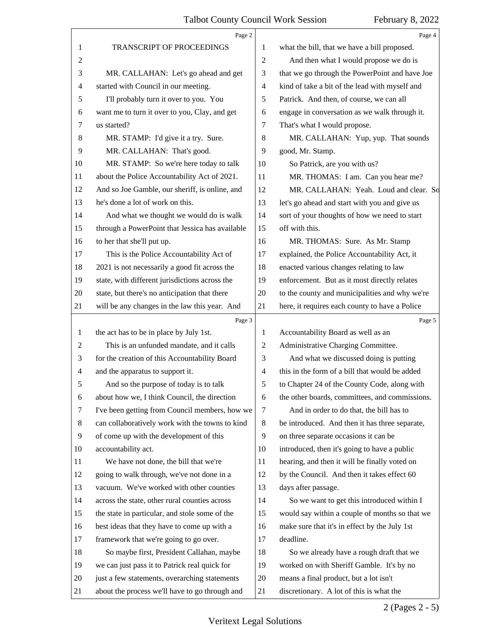<span id="page-1-0"></span>

|                          | Page 2                                          |                | Page 4                                         |
|--------------------------|-------------------------------------------------|----------------|------------------------------------------------|
| 1                        | TRANSCRIPT OF PROCEEDINGS                       | 1              | what the bill, that we have a bill proposed.   |
| $\overline{2}$           |                                                 | $\overline{2}$ | And then what I would propose we do is         |
| 3                        | MR. CALLAHAN: Let's go ahead and get            | 3              | that we go through the PowerPoint and have Joe |
| $\overline{\mathcal{A}}$ | started with Council in our meeting.            | $\overline{4}$ | kind of take a bit of the lead with myself and |
| 5                        | I'll probably turn it over to you. You          | 5              | Patrick. And then, of course, we can all       |
| 6                        | want me to turn it over to you, Clay, and get   | 6              | engage in conversation as we walk through it.  |
| 7                        | us started?                                     | 7              | That's what I would propose.                   |
| 8                        | MR. STAMP: I'd give it a try. Sure.             | 8              | MR. CALLAHAN: Yup, yup. That sounds            |
| 9                        | MR. CALLAHAN: That's good.                      | 9              | good, Mr. Stamp.                               |
| 10                       | MR. STAMP: So we're here today to talk          | 10             | So Patrick, are you with us?                   |
| 11                       | about the Police Accountability Act of 2021.    | 11             | MR. THOMAS: I am. Can you hear me?             |
| 12                       | And so Joe Gamble, our sheriff, is online, and  | 12             | MR. CALLAHAN: Yeah. Loud and clear. So         |
| 13                       | he's done a lot of work on this.                | 13             | let's go ahead and start with you and give us  |
| 14                       | And what we thought we would do is walk         | 14             | sort of your thoughts of how we need to start  |
| 15                       | through a PowerPoint that Jessica has available | 15             | off with this.                                 |
| 16                       | to her that she'll put up.                      | 16             | MR. THOMAS: Sure. As Mr. Stamp                 |
| 17                       | This is the Police Accountability Act of        | 17             | explained, the Police Accountability Act, it   |
| 18                       | 2021 is not necessarily a good fit across the   | 18             | enacted various changes relating to law        |
| 19                       | state, with different jurisdictions across the  | 19             | enforcement. But as it most directly relates   |
| 20                       | state, but there's no anticipation that there   | 20             | to the county and municipalities and why we're |
| 21                       | will be any changes in the law this year. And   | 21             | here, it requires each county to have a Police |
|                          |                                                 |                |                                                |
|                          | Page 3                                          |                | Page 5                                         |
| 1                        | the act has to be in place by July 1st.         | 1              | Accountability Board as well as an             |
| 2                        | This is an unfunded mandate, and it calls       | 2              | Administrative Charging Committee.             |
| 3                        | for the creation of this Accountability Board   | 3              | And what we discussed doing is putting         |
| $\overline{4}$           | and the apparatus to support it.                | $\overline{4}$ | this in the form of a bill that would be added |
| 5                        | And so the purpose of today is to talk          | 5              | to Chapter 24 of the County Code, along with   |
| 6                        | about how we, I think Council, the direction    | 6              | the other boards, committees, and commissions. |
| 7                        | I've been getting from Council members, how we  | 7              | And in order to do that, the bill has to       |
| 8                        | can collaboratively work with the towns to kind | 8              | be introduced. And then it has three separate, |
| 9                        | of come up with the development of this         | 9              | on three separate occasions it can be          |
| 10                       | accountability act.                             | 10             | introduced, then it's going to have a public   |
| 11                       | We have not done, the bill that we're           | 11             | hearing, and then it will be finally voted on  |
| 12                       | going to walk through, we've not done in a      | 12             | by the Council. And then it takes effect 60    |
| 13                       | vacuum. We've worked with other counties        | 13             | days after passage.                            |
| 14                       | across the state, other rural counties across   | 14             | So we want to get this introduced within I     |
| 15                       | the state in particular, and stole some of the  | 15             | would say within a couple of months so that we |
| 16                       | best ideas that they have to come up with a     | 16             | make sure that it's in effect by the July 1st  |
| 17                       | framework that we're going to go over.          | 17             | deadline.                                      |
| 18                       | So maybe first, President Callahan, maybe       | 18             | So we already have a rough draft that we       |
| 19                       | we can just pass it to Patrick real quick for   | 19             | worked on with Sheriff Gamble. It's by no      |
| 20                       | just a few statements, overarching statements   | 20             | means a final product, but a lot isn't         |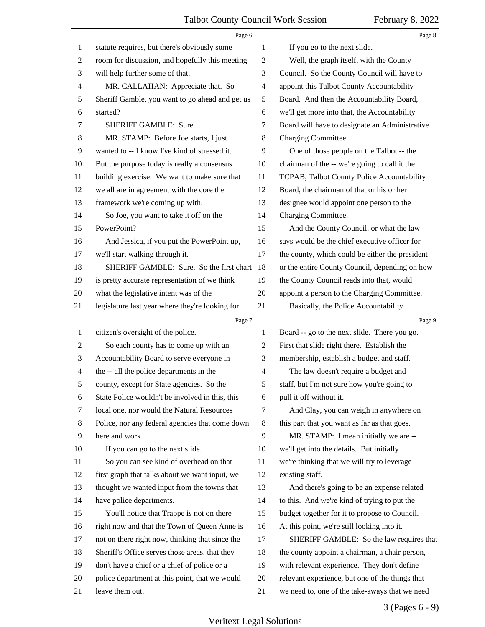<span id="page-2-0"></span>

|                | Page 6                                          |                          | Page 8                                          |
|----------------|-------------------------------------------------|--------------------------|-------------------------------------------------|
| 1              | statute requires, but there's obviously some    | 1                        | If you go to the next slide.                    |
| $\overline{c}$ | room for discussion, and hopefully this meeting | $\overline{c}$           | Well, the graph itself, with the County         |
| 3              | will help further some of that.                 | 3                        | Council. So the County Council will have to     |
| 4              | MR. CALLAHAN: Appreciate that. So               | 4                        | appoint this Talbot County Accountability       |
| 5              | Sheriff Gamble, you want to go ahead and get us | 5                        | Board. And then the Accountability Board,       |
| 6              | started?                                        | 6                        | we'll get more into that, the Accountability    |
| 7              | SHERIFF GAMBLE: Sure.                           | 7                        | Board will have to designate an Administrative  |
| 8              | MR. STAMP: Before Joe starts, I just            | 8                        | Charging Committee.                             |
| 9              | wanted to -- I know I've kind of stressed it.   | 9                        | One of those people on the Talbot -- the        |
| 10             | But the purpose today is really a consensus     | 10                       | chairman of the -- we're going to call it the   |
| 11             | building exercise. We want to make sure that    | 11                       | TCPAB, Talbot County Police Accountability      |
| 12             | we all are in agreement with the core the       | 12                       | Board, the chairman of that or his or her       |
| 13             | framework we're coming up with.                 | 13                       | designee would appoint one person to the        |
| 14             | So Joe, you want to take it off on the          | 14                       | Charging Committee.                             |
| 15             | PowerPoint?                                     | 15                       | And the County Council, or what the law         |
| 16             | And Jessica, if you put the PowerPoint up,      | 16                       | says would be the chief executive officer for   |
| 17             | we'll start walking through it.                 | 17                       | the county, which could be either the president |
| 18             | SHERIFF GAMBLE: Sure. So the first chart        | 18                       | or the entire County Council, depending on how  |
| 19             | is pretty accurate representation of we think   | 19                       | the County Council reads into that, would       |
| 20             | what the legislative intent was of the          | 20                       | appoint a person to the Charging Committee.     |
| 21             | legislature last year where they're looking for | 21                       | Basically, the Police Accountability            |
|                | Page 7                                          |                          | Page 9                                          |
| 1              | citizen's oversight of the police.              | $\mathbf{1}$             | Board -- go to the next slide. There you go.    |
| 2              | So each county has to come up with an           | 2                        | First that slide right there. Establish the     |
| 3              | Accountability Board to serve everyone in       | 3                        | membership, establish a budget and staff.       |
| 4              | the -- all the police departments in the        | $\overline{\mathcal{A}}$ | The law doesn't require a budget and            |
| 5              | county, except for State agencies. So the       | 5                        | staff, but I'm not sure how you're going to     |
| 6              | State Police wouldn't be involved in this, this | 6                        | pull it off without it.                         |
| 7              | local one, nor would the Natural Resources      | $\tau$                   | And Clay, you can weigh in anywhere on          |
| 8              | Police, nor any federal agencies that come down | 8                        | this part that you want as far as that goes.    |
| 9              | here and work.                                  | 9                        | MR. STAMP: I mean initially we are --           |
| 10             | If you can go to the next slide.                | 10                       | we'll get into the details. But initially       |
| 11             | So you can see kind of overhead on that         | 11                       | we're thinking that we will try to leverage     |
| 12             | first graph that talks about we want input, we  | 12                       | existing staff.                                 |
| 13             | thought we wanted input from the towns that     | 13                       | And there's going to be an expense related      |
| 14             | have police departments.                        | 14                       | to this. And we're kind of trying to put the    |
| 15             | You'll notice that Trappe is not on there       | 15                       | budget together for it to propose to Council.   |
| 16             | right now and that the Town of Queen Anne is    | 16                       | At this point, we're still looking into it.     |
| 17             | not on there right now, thinking that since the | 17                       | SHERIFF GAMBLE: So the law requires that        |
| 18             | Sheriff's Office serves those areas, that they  | 18                       | the county appoint a chairman, a chair person,  |
| 19             | don't have a chief or a chief of police or a    | 19                       | with relevant experience. They don't define     |
| 20             | police department at this point, that we would  | 20                       | relevant experience, but one of the things that |
| 21             | leave them out.                                 | 21                       | we need to, one of the take-aways that we need  |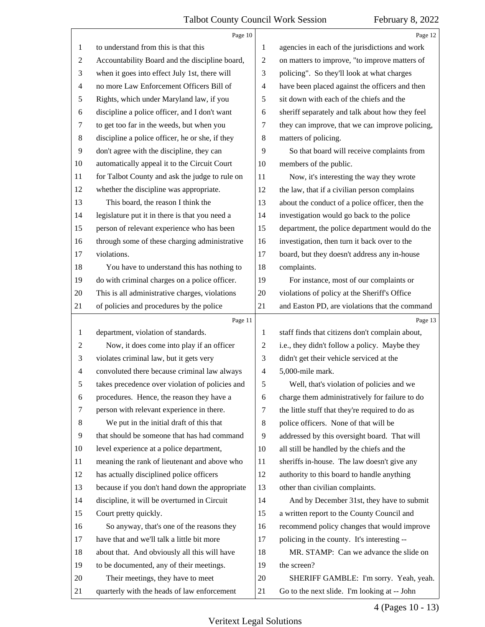<span id="page-3-0"></span>

|                          | Page 10                                         |                          | Page 12                                         |
|--------------------------|-------------------------------------------------|--------------------------|-------------------------------------------------|
| $\mathbf{1}$             | to understand from this is that this            | 1                        | agencies in each of the jurisdictions and work  |
| 2                        | Accountability Board and the discipline board,  | $\overline{c}$           | on matters to improve, "to improve matters of   |
| 3                        | when it goes into effect July 1st, there will   | 3                        | policing". So they'll look at what charges      |
| $\overline{\mathcal{A}}$ | no more Law Enforcement Officers Bill of        | $\overline{\mathcal{A}}$ | have been placed against the officers and then  |
| 5                        | Rights, which under Maryland law, if you        | 5                        | sit down with each of the chiefs and the        |
| 6                        | discipline a police officer, and I don't want   | 6                        | sheriff separately and talk about how they feel |
| 7                        | to get too far in the weeds, but when you       | 7                        | they can improve, that we can improve policing, |
| 8                        | discipline a police officer, he or she, if they | 8                        | matters of policing.                            |
| 9                        | don't agree with the discipline, they can       | 9                        | So that board will receive complaints from      |
| 10                       | automatically appeal it to the Circuit Court    | 10                       | members of the public.                          |
| 11                       | for Talbot County and ask the judge to rule on  | 11                       | Now, it's interesting the way they wrote        |
| 12                       | whether the discipline was appropriate.         | 12                       | the law, that if a civilian person complains    |
| 13                       | This board, the reason I think the              | 13                       | about the conduct of a police officer, then the |
| 14                       | legislature put it in there is that you need a  | 14                       | investigation would go back to the police       |
| 15                       | person of relevant experience who has been      | 15                       | department, the police department would do the  |
| 16                       | through some of these charging administrative   | 16                       | investigation, then turn it back over to the    |
| 17                       | violations.                                     | 17                       | board, but they doesn't address any in-house    |
| 18                       | You have to understand this has nothing to      | 18                       | complaints.                                     |
| 19                       | do with criminal charges on a police officer.   | 19                       | For instance, most of our complaints or         |
| 20                       | This is all administrative charges, violations  | 20                       | violations of policy at the Sheriff's Office    |
| 21                       | of policies and procedures by the police        | 21                       | and Easton PD, are violations that the command  |
|                          |                                                 |                          |                                                 |
|                          | Page 11                                         |                          | Page 13                                         |
| $\mathbf{1}$             | department, violation of standards.             | 1                        | staff finds that citizens don't complain about, |
| 2                        | Now, it does come into play if an officer       | $\overline{c}$           | i.e., they didn't follow a policy. Maybe they   |
| 3                        | violates criminal law, but it gets very         | 3                        | didn't get their vehicle serviced at the        |
| $\overline{4}$           | convoluted there because criminal law always    | $\overline{\mathcal{A}}$ | 5,000-mile mark.                                |
| 5                        | takes precedence over violation of policies and | 5                        | Well, that's violation of policies and we       |
| 6                        | procedures. Hence, the reason they have a       | 6                        | charge them administratively for failure to do  |
| 7                        | person with relevant experience in there.       | 7                        | the little stuff that they're required to do as |
| 8                        | We put in the initial draft of this that        | 8                        | police officers. None of that will be           |
| 9                        | that should be someone that has had command     | 9                        | addressed by this oversight board. That will    |
| 10                       | level experience at a police department,        | 10                       | all still be handled by the chiefs and the      |
| 11                       | meaning the rank of lieutenant and above who    | 11                       | sheriffs in-house. The law doesn't give any     |
| 12                       | has actually disciplined police officers        | 12                       | authority to this board to handle anything      |
| 13                       | because if you don't hand down the appropriate  | 13                       | other than civilian complaints.                 |
| 14                       | discipline, it will be overturned in Circuit    | 14                       | And by December 31st, they have to submit       |
| 15                       | Court pretty quickly.                           | 15                       | a written report to the County Council and      |
| 16                       | So anyway, that's one of the reasons they       | 16                       | recommend policy changes that would improve     |
| 17                       | have that and we'll talk a little bit more      | 17                       | policing in the county. It's interesting --     |
| 18                       | about that. And obviously all this will have    | 18                       | MR. STAMP: Can we advance the slide on          |
| 19                       | to be documented, any of their meetings.        | 19                       | the screen?                                     |
| 20                       | Their meetings, they have to meet               | 20                       | SHERIFF GAMBLE: I'm sorry. Yeah, yeah.          |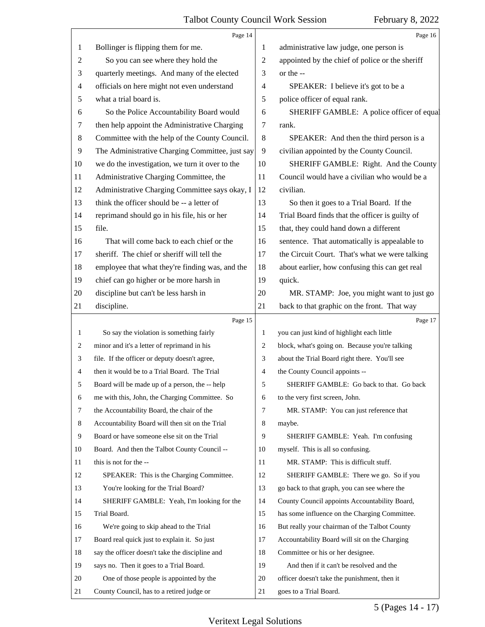<span id="page-4-0"></span>

|                | Page 14                                         |                | Page 16                                         |
|----------------|-------------------------------------------------|----------------|-------------------------------------------------|
| 1              | Bollinger is flipping them for me.              | 1              | administrative law judge, one person is         |
| $\overline{c}$ | So you can see where they hold the              | 2              | appointed by the chief of police or the sheriff |
| 3              | quarterly meetings. And many of the elected     | 3              | or the --                                       |
| 4              | officials on here might not even understand     | 4              | SPEAKER: I believe it's got to be a             |
| 5              | what a trial board is.                          | 5              | police officer of equal rank.                   |
| 6              | So the Police Accountability Board would        | 6              | SHERIFF GAMBLE: A police officer of equal       |
| 7              | then help appoint the Administrative Charging   | 7              | rank.                                           |
| $\,8$          | Committee with the help of the County Council.  | 8              | SPEAKER: And then the third person is a         |
| $\overline{9}$ | The Administrative Charging Committee, just say | 9              | civilian appointed by the County Council.       |
| 10             | we do the investigation, we turn it over to the | 10             | SHERIFF GAMBLE: Right. And the County           |
| 11             | Administrative Charging Committee, the          | 11             | Council would have a civilian who would be a    |
| 12             | Administrative Charging Committee says okay, I  | 12             | civilian.                                       |
| 13             | think the officer should be -- a letter of      | 13             | So then it goes to a Trial Board. If the        |
| 14             | reprimand should go in his file, his or her     | 14             | Trial Board finds that the officer is guilty of |
| 15             | file.                                           | 15             | that, they could hand down a different          |
| 16             | That will come back to each chief or the        | 16             | sentence. That automatically is appealable to   |
| 17             | sheriff. The chief or sheriff will tell the     | 17             | the Circuit Court. That's what we were talking  |
| 18             | employee that what they're finding was, and the | 18             | about earlier, how confusing this can get real  |
| 19             | chief can go higher or be more harsh in         | 19             | quick.                                          |
| 20             | discipline but can't be less harsh in           | 20             | MR. STAMP: Joe, you might want to just go       |
| 21             | discipline.                                     | 21             | back to that graphic on the front. That way     |
|                | Page 15                                         |                | Page 17                                         |
| $\mathbf{1}$   | So say the violation is something fairly        | $\mathbf{1}$   | you can just kind of highlight each little      |
| 2              | minor and it's a letter of reprimand in his     | $\overline{2}$ | block, what's going on. Because you're talking  |
| 3              | file. If the officer or deputy doesn't agree,   | 3              | about the Trial Board right there. You'll see   |
| 4              | then it would be to a Trial Board. The Trial    | 4              | the County Council appoints --                  |
|                | Board will be made up of a person, the -- help  | 5              | SHERIFF GAMBLE: Go back to that. Go back        |
| 6              | me with this, John, the Charging Committee. So  | 6              | to the very first screen, John.                 |
| 7              | the Accountability Board, the chair of the      | 7              | MR. STAMP: You can just reference that          |
| 8              | Accountability Board will then sit on the Trial | 8              | maybe.                                          |
| 9              | Board or have someone else sit on the Trial     | 9              | SHERIFF GAMBLE: Yeah. I'm confusing             |
| 10             | Board. And then the Talbot County Council --    | 10             | myself. This is all so confusing.               |
| 11             | this is not for the --                          | 11             | MR. STAMP: This is difficult stuff.             |
| 12             | SPEAKER: This is the Charging Committee.        | 12             | SHERIFF GAMBLE: There we go. So if you          |
| 13             | You're looking for the Trial Board?             | 13             | go back to that graph, you can see where the    |
| 14             | SHERIFF GAMBLE: Yeah, I'm looking for the       | 14             | County Council appoints Accountability Board,   |
| 15             |                                                 |                |                                                 |
| 16             | Trial Board.                                    | 15             | has some influence on the Charging Committee.   |
| 17             | We're going to skip ahead to the Trial          | 16             | But really your chairman of the Talbot County   |
|                | Board real quick just to explain it. So just    | 17             | Accountability Board will sit on the Charging   |
| 18             | say the officer doesn't take the discipline and | 18             | Committee or his or her designee.               |
| 19             | says no. Then it goes to a Trial Board.         | 19             | And then if it can't be resolved and the        |
| 20             | One of those people is appointed by the         | 20             | officer doesn't take the punishment, then it    |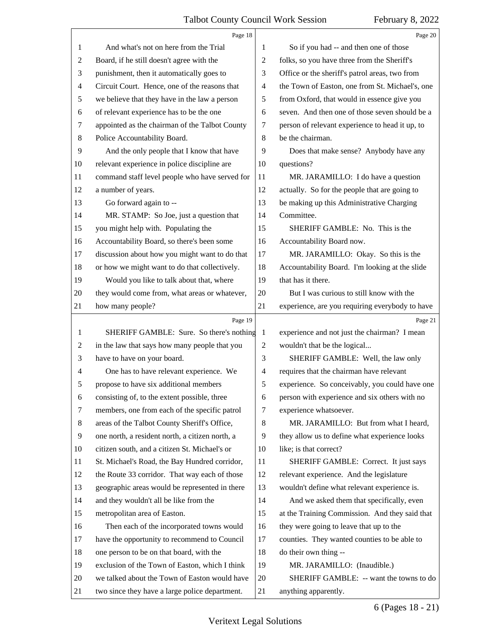<span id="page-5-0"></span>

|                | Page 18                                         |                | Page 20                                         |
|----------------|-------------------------------------------------|----------------|-------------------------------------------------|
| 1              | And what's not on here from the Trial           | 1              | So if you had -- and then one of those          |
| 2              | Board, if he still doesn't agree with the       | 2              | folks, so you have three from the Sheriff's     |
| 3              | punishment, then it automatically goes to       | 3              | Office or the sheriff's patrol areas, two from  |
| 4              | Circuit Court. Hence, one of the reasons that   | $\overline{4}$ | the Town of Easton, one from St. Michael's, one |
| 5              | we believe that they have in the law a person   | 5              | from Oxford, that would in essence give you     |
| 6              | of relevant experience has to be the one        | 6              | seven. And then one of those seven should be a  |
| 7              | appointed as the chairman of the Talbot County  | 7              | person of relevant experience to head it up, to |
| 8              | Police Accountability Board.                    | 8              | be the chairman.                                |
| 9              | And the only people that I know that have       | 9              | Does that make sense? Anybody have any          |
| 10             | relevant experience in police discipline are    | 10             | questions?                                      |
| 11             | command staff level people who have served for  | 11             | MR. JARAMILLO: I do have a question             |
| 12             | a number of years.                              | 12             | actually. So for the people that are going to   |
| 13             | Go forward again to --                          | 13             | be making up this Administrative Charging       |
| 14             | MR. STAMP: So Joe, just a question that         | 14             | Committee.                                      |
| 15             | you might help with. Populating the             | 15             | SHERIFF GAMBLE: No. This is the                 |
| 16             | Accountability Board, so there's been some      | 16             | Accountability Board now.                       |
| 17             | discussion about how you might want to do that  | 17             | MR. JARAMILLO: Okay. So this is the             |
| 18             | or how we might want to do that collectively.   | 18             | Accountability Board. I'm looking at the slide  |
| 19             | Would you like to talk about that, where        | 19             | that has it there.                              |
| 20             | they would come from, what areas or whatever,   | 20             | But I was curious to still know with the        |
| 21             | how many people?                                | 21             | experience, are you requiring everybody to have |
|                |                                                 |                |                                                 |
|                | Page 19                                         |                | Page 21                                         |
| 1              | SHERIFF GAMBLE: Sure. So there's nothing        | $\mathbf{1}$   | experience and not just the chairman? I mean    |
| $\overline{c}$ | in the law that says how many people that you   | 2              | wouldn't that be the logical                    |
| 3              | have to have on your board.                     | 3              | SHERIFF GAMBLE: Well, the law only              |
| 4              | One has to have relevant experience. We         | $\overline{4}$ | requires that the chairman have relevant        |
| 5              | propose to have six additional members          | 5              | experience. So conceivably, you could have one  |
| 6              | consisting of, to the extent possible, three    | 6              | person with experience and six others with no   |
| 7              | members, one from each of the specific patrol   | 7              | experience whatsoever.                          |
| 8              | areas of the Talbot County Sheriff's Office,    | 8              | MR. JARAMILLO: But from what I heard,           |
| 9              | one north, a resident north, a citizen north, a | 9              | they allow us to define what experience looks   |
| 10             | citizen south, and a citizen St. Michael's or   | 10             | like; is that correct?                          |
| 11             | St. Michael's Road, the Bay Hundred corridor,   | 11             | SHERIFF GAMBLE: Correct. It just says           |
| 12             | the Route 33 corridor. That way each of those   | 12             | relevant experience. And the legislature        |
| 13             | geographic areas would be represented in there  | 13             | wouldn't define what relevant experience is.    |
| 14             | and they wouldn't all be like from the          | 14             | And we asked them that specifically, even       |
| 15             | metropolitan area of Easton.                    | 15             | at the Training Commission. And they said that  |
| 16             | Then each of the incorporated towns would       | 16             | they were going to leave that up to the         |
| 17             | have the opportunity to recommend to Council    | 17             | counties. They wanted counties to be able to    |
| 18             | one person to be on that board, with the        | 18             | do their own thing --                           |
| 19             | exclusion of the Town of Easton, which I think  | 19             | MR. JARAMILLO: (Inaudible.)                     |
| 20             | we talked about the Town of Easton would have   | 20             | SHERIFF GAMBLE: -- want the towns to do         |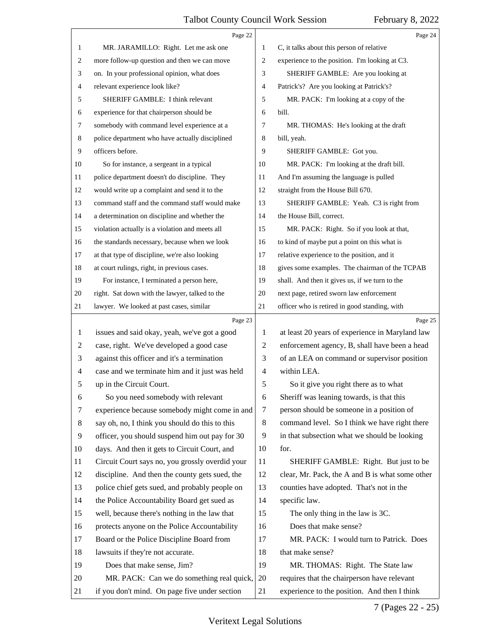<span id="page-6-0"></span>

|                | Page 22                                         |                | Page 24                                         |
|----------------|-------------------------------------------------|----------------|-------------------------------------------------|
| 1              | MR. JARAMILLO: Right. Let me ask one            | 1              | C, it talks about this person of relative       |
| $\mathbf{2}$   | more follow-up question and then we can move    | $\overline{2}$ | experience to the position. I'm looking at C3.  |
| 3              | on. In your professional opinion, what does     | 3              | SHERIFF GAMBLE: Are you looking at              |
| 4              | relevant experience look like?                  | $\overline{4}$ | Patrick's? Are you looking at Patrick's?        |
| 5              | SHERIFF GAMBLE: I think relevant                | 5              | MR. PACK: I'm looking at a copy of the          |
| 6              | experience for that chairperson should be       | 6              | bill.                                           |
| $\tau$         | somebody with command level experience at a     | 7              | MR. THOMAS: He's looking at the draft           |
| 8              | police department who have actually disciplined | 8              | bill, yeah.                                     |
| 9              | officers before.                                | 9              | SHERIFF GAMBLE: Got you.                        |
| 10             | So for instance, a sergeant in a typical        | 10             | MR. PACK: I'm looking at the draft bill.        |
| 11             | police department doesn't do discipline. They   | 11             | And I'm assuming the language is pulled         |
| 12             | would write up a complaint and send it to the   | 12             | straight from the House Bill 670.               |
| 13             | command staff and the command staff would make  | 13             | SHERIFF GAMBLE: Yeah. C3 is right from          |
| 14             | a determination on discipline and whether the   | 14             | the House Bill, correct.                        |
| 15             | violation actually is a violation and meets all | 15             | MR. PACK: Right. So if you look at that,        |
| 16             | the standards necessary, because when we look   | 16             | to kind of maybe put a point on this what is    |
| 17             | at that type of discipline, we're also looking  | 17             | relative experience to the position, and it     |
| 18             | at court rulings, right, in previous cases.     | 18             | gives some examples. The chairman of the TCPAB  |
| 19             | For instance, I terminated a person here,       | 19             | shall. And then it gives us, if we turn to the  |
| 20             | right. Sat down with the lawyer, talked to the  | 20             | next page, retired sworn law enforcement        |
| 21             | lawyer. We looked at past cases, similar        | 21             | officer who is retired in good standing, with   |
|                | Page 23                                         |                | Page 25                                         |
| 1              | issues and said okay, yeah, we've got a good    | 1              | at least 20 years of experience in Maryland law |
| $\overline{2}$ | case, right. We've developed a good case        | 2              | enforcement agency, B, shall have been a head   |
| 3              | against this officer and it's a termination     | 3              | of an LEA on command or supervisor position     |
| 4              | case and we terminate him and it just was held  | $\overline{4}$ | within LEA.                                     |
| 5              | up in the Circuit Court.                        | 5              | So it give you right there as to what           |
| 6              | So you need somebody with relevant              | 6              | Sheriff was leaning towards, is that this       |
| 7              | experience because somebody might come in and   | 7              | person should be someone in a position of       |
| 8              | say oh, no, I think you should do this to this  | 8              | command level. So I think we have right there   |
| 9              | officer, you should suspend him out pay for 30  | 9              | in that subsection what we should be looking    |
| 10             | days. And then it gets to Circuit Court, and    | 10             | for.                                            |
| 11             | Circuit Court says no, you grossly overdid your | 11             | SHERIFF GAMBLE: Right. But just to be           |
| 12             | discipline. And then the county gets sued, the  | 12             | clear, Mr. Pack, the A and B is what some other |
| 13             | police chief gets sued, and probably people on  | 13             | counties have adopted. That's not in the        |
| 14             | the Police Accountability Board get sued as     | 14             | specific law.                                   |
| 15             | well, because there's nothing in the law that   | 15             | The only thing in the law is 3C.                |
| 16             | protects anyone on the Police Accountability    | 16             | Does that make sense?                           |
| 17             | Board or the Police Discipline Board from       | 17             | MR. PACK: I would turn to Patrick. Does         |
| 18             | lawsuits if they're not accurate.               | 18             | that make sense?                                |
| 19             | Does that make sense, Jim?                      | 19             | MR. THOMAS: Right. The State law                |
| 20             | MR. PACK: Can we do something real quick,       | 20             | requires that the chairperson have relevant     |
| 21             | if you don't mind. On page five under section   | 21             | experience to the position. And then I think    |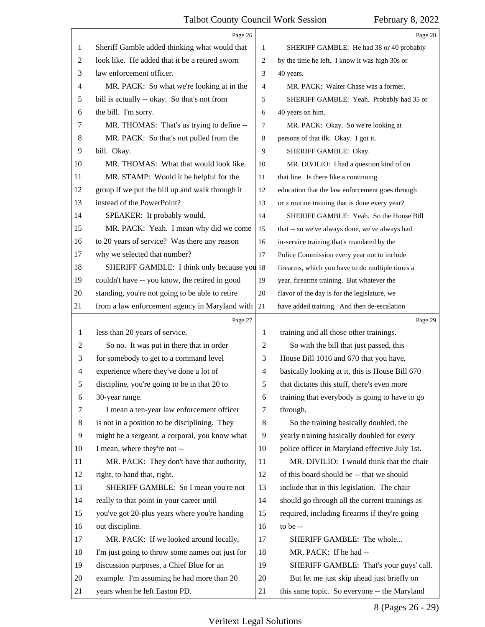<span id="page-7-0"></span>

|                | Page 26                                         |                | Page 28                                         |  |
|----------------|-------------------------------------------------|----------------|-------------------------------------------------|--|
| 1              | Sheriff Gamble added thinking what would that   | 1              | SHERIFF GAMBLE: He had 38 or 40 probably        |  |
| 2              | look like. He added that it be a retired sworn  | 2              | by the time he left. I know it was high 30s or  |  |
| 3              | law enforcement officer.                        | 3              | 40 years.                                       |  |
| $\overline{4}$ | MR. PACK: So what we're looking at in the       | $\overline{4}$ | MR. PACK: Walter Chase was a former.            |  |
| 5              | bill is actually -- okay. So that's not from    | 5              | SHERIFF GAMBLE: Yeah. Probably had 35 or        |  |
| 6              | the bill. I'm sorry.                            | 6              | 40 years on him.                                |  |
| 7              | MR. THOMAS: That's us trying to define --       | 7              | MR. PACK: Okay. So we're looking at             |  |
| 8              | MR. PACK: So that's not pulled from the         | 8              | persons of that ilk. Okay. I got it.            |  |
| 9              | bill. Okay.                                     | 9              | SHERIFF GAMBLE: Okay.                           |  |
| 10             | MR. THOMAS: What that would look like.          | 10             | MR. DIVILIO: I had a question kind of on        |  |
| 11             | MR. STAMP: Would it be helpful for the          | 11             | that line. Is there like a continuing           |  |
| 12             | group if we put the bill up and walk through it | 12             | education that the law enforcement goes through |  |
| 13             | instead of the PowerPoint?                      | 13             | or a routine training that is done every year?  |  |
| 14             | SPEAKER: It probably would.                     | 14             | SHERIFF GAMBLE: Yeah. So the House Bill         |  |
| 15             | MR. PACK: Yeah. I mean why did we come          | 15             | that -- so we've always done, we've always had  |  |
| 16             | to 20 years of service? Was there any reason    | 16             | in-service training that's mandated by the      |  |
| 17             | why we selected that number?                    | 17             | Police Commission every year not to include     |  |
| 18             | SHERIFF GAMBLE: I think only because you 18     |                | firearms, which you have to do multiple times a |  |
| 19             | couldn't have -- you know, the retired in good  | 19             | year, firearms training. But whatever the       |  |
| 20             | standing, you're not going to be able to retire | 20             | flavor of the day is for the legislature, we    |  |
| 21             | from a law enforcement agency in Maryland with  | 21             | have added training. And then de-escalation     |  |
|                |                                                 |                |                                                 |  |
|                | Page 27                                         |                | Page 29                                         |  |
| 1              | less than 20 years of service.                  | 1              | training and all those other trainings.         |  |
| 2              | So no. It was put in there that in order        | 2              | So with the bill that just passed, this         |  |
| 3              | for somebody to get to a command level          | 3              | House Bill 1016 and 670 that you have,          |  |
| $\overline{4}$ | experience where they've done a lot of          | $\overline{4}$ | basically looking at it, this is House Bill 670 |  |
| 5              | discipline, you're going to be in that 20 to    | 5              | that dictates this stuff, there's even more     |  |
| 6              | 30-year range.                                  | 6              | training that everybody is going to have to go  |  |
| 7              | I mean a ten-year law enforcement officer       | 7              | through.                                        |  |
| 8              | is not in a position to be disciplining. They   | 8              | So the training basically doubled, the          |  |
| 9              | might be a sergeant, a corporal, you know what  | 9              | yearly training basically doubled for every     |  |
| 10             | I mean, where they're not --                    | 10             | police officer in Maryland effective July 1st.  |  |
| 11             | MR. PACK: They don't have that authority,       | 11             | MR. DIVILIO: I would think that the chair       |  |
| 12             | right, to hand that, right.                     | 12             | of this board should be -- that we should       |  |
| 13             | SHERIFF GAMBLE: So I mean you're not            | 13             | include that in this legislation. The chair     |  |
| 14             | really to that point in your career until       | 14             | should go through all the current trainings as  |  |
| 15             | you've got 20-plus years where you're handing   | 15             | required, including firearms if they're going   |  |
| 16             | out discipline.                                 | 16             | to be --                                        |  |
| 17             | MR. PACK: If we looked around locally,          | 17             | SHERIFF GAMBLE: The whole                       |  |
| 18             | I'm just going to throw some names out just for | 18             | MR. PACK: If he had --                          |  |
| 19             | discussion purposes, a Chief Blue for an        | 19             | SHERIFF GAMBLE: That's your guys' call.         |  |
| 20             | example. I'm assuming he had more than 20       | 20             | But let me just skip ahead just briefly on      |  |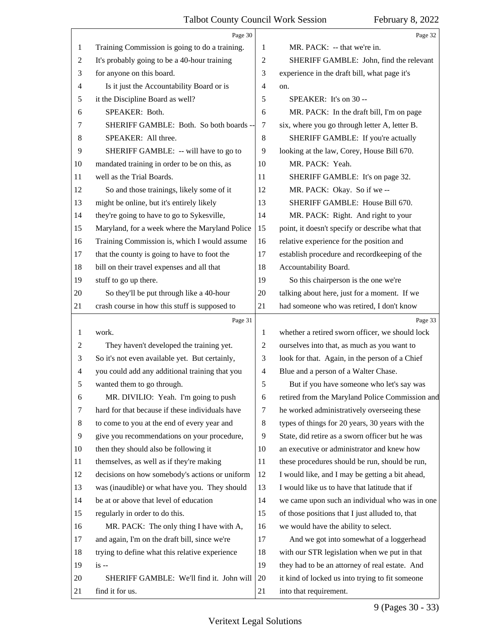<span id="page-8-0"></span>

|                | Page 30                                         |                | Page 32                                         |
|----------------|-------------------------------------------------|----------------|-------------------------------------------------|
| 1              | Training Commission is going to do a training.  | 1              | MR. PACK: -- that we're in.                     |
| 2              | It's probably going to be a 40-hour training    | 2              | SHERIFF GAMBLE: John, find the relevant         |
| 3              | for anyone on this board.                       | 3              | experience in the draft bill, what page it's    |
| 4              | Is it just the Accountability Board or is       | 4              | on.                                             |
| 5              | it the Discipline Board as well?                | 5              | SPEAKER: It's on 30 --                          |
| 6              | SPEAKER: Both.                                  | 6              | MR. PACK: In the draft bill, I'm on page        |
| 7              | SHERIFF GAMBLE: Both. So both boards --         | 7              | six, where you go through letter A, letter B.   |
| 8              | SPEAKER: All three.                             | $\,8\,$        | SHERIFF GAMBLE: If you're actually              |
| 9              | SHERIFF GAMBLE: -- will have to go to           | 9              | looking at the law, Corey, House Bill 670.      |
| 10             | mandated training in order to be on this, as    | 10             | MR. PACK: Yeah.                                 |
| 11             | well as the Trial Boards.                       | 11             | SHERIFF GAMBLE: It's on page 32.                |
| 12             | So and those trainings, likely some of it       | 12             | MR. PACK: Okay. So if we --                     |
| 13             | might be online, but it's entirely likely       | 13             | SHERIFF GAMBLE: House Bill 670.                 |
| 14             | they're going to have to go to Sykesville,      | 14             | MR. PACK: Right. And right to your              |
| 15             | Maryland, for a week where the Maryland Police  | 15             | point, it doesn't specify or describe what that |
| 16             | Training Commission is, which I would assume    | 16             | relative experience for the position and        |
| 17             | that the county is going to have to foot the    | 17             | establish procedure and recordkeeping of the    |
| 18             | bill on their travel expenses and all that      | 18             | Accountability Board.                           |
| 19             | stuff to go up there.                           | 19             | So this chairperson is the one we're            |
| 20             | So they'll be put through like a 40-hour        | 20             | talking about here, just for a moment. If we    |
| 21             | crash course in how this stuff is supposed to   | 21             | had someone who was retired, I don't know       |
|                | Page 31                                         |                | Page 33                                         |
| 1              | work.                                           |                |                                                 |
|                |                                                 | 1              | whether a retired sworn officer, we should lock |
| $\overline{c}$ | They haven't developed the training yet.        | $\overline{c}$ | ourselves into that, as much as you want to     |
| 3              | So it's not even available yet. But certainly,  | 3              | look for that. Again, in the person of a Chief  |
| 4              | you could add any additional training that you  | 4              | Blue and a person of a Walter Chase.            |
| 5              | wanted them to go through.                      | 5              | But if you have someone who let's say was       |
| 6              | MR. DIVILIO: Yeah. I'm going to push            | 6              | retired from the Maryland Police Commission and |
| 7              | hard for that because if these individuals have | 7              | he worked administratively overseeing these     |
| 8              | to come to you at the end of every year and     | 8              | types of things for 20 years, 30 years with the |
| 9              | give you recommendations on your procedure,     | 9              | State, did retire as a sworn officer but he was |
| 10             | then they should also be following it           | 10             | an executive or administrator and knew how      |
| 11             | themselves, as well as if they're making        | 11             | these procedures should be run, should be run,  |
| 12             | decisions on how somebody's actions or uniform  | 12             | I would like, and I may be getting a bit ahead, |
| 13             | was (inaudible) or what have you. They should   | 13             | I would like us to have that latitude that if   |
| 14             | be at or above that level of education          | 14             | we came upon such an individual who was in one  |
| 15             | regularly in order to do this.                  | 15             | of those positions that I just alluded to, that |
| 16             | MR. PACK: The only thing I have with A,         | 16             | we would have the ability to select.            |
| 17             | and again, I'm on the draft bill, since we're   | 17             | And we got into somewhat of a loggerhead        |
| 18             | trying to define what this relative experience  | 18             | with our STR legislation when we put in that    |
| 19             | $is -$                                          | 19             | they had to be an attorney of real estate. And  |
| 20             | SHERIFF GAMBLE: We'll find it. John will        | 20             | it kind of locked us into trying to fit someone |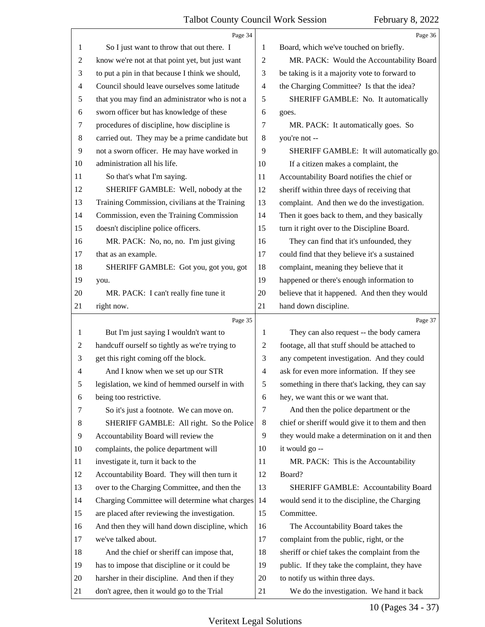<span id="page-9-0"></span>

|    | Page 34                                         |                          | Page 36                                         |
|----|-------------------------------------------------|--------------------------|-------------------------------------------------|
| 1  | So I just want to throw that out there. I       | 1                        | Board, which we've touched on briefly.          |
| 2  | know we're not at that point yet, but just want | $\overline{c}$           | MR. PACK: Would the Accountability Board        |
| 3  | to put a pin in that because I think we should, | 3                        | be taking is it a majority vote to forward to   |
| 4  | Council should leave ourselves some latitude    | $\overline{\mathcal{A}}$ | the Charging Committee? Is that the idea?       |
| 5  | that you may find an administrator who is not a | 5                        | SHERIFF GAMBLE: No. It automatically            |
| 6  | sworn officer but has knowledge of these        | 6                        | goes.                                           |
| 7  | procedures of discipline, how discipline is     | 7                        | MR. PACK: It automatically goes. So             |
| 8  | carried out. They may be a prime candidate but  | $\,8\,$                  | you're not --                                   |
| 9  | not a sworn officer. He may have worked in      | 9                        | SHERIFF GAMBLE: It will automatically go.       |
| 10 | administration all his life.                    | 10                       | If a citizen makes a complaint, the             |
| 11 | So that's what I'm saying.                      | 11                       | Accountability Board notifies the chief or      |
| 12 | SHERIFF GAMBLE: Well, nobody at the             | 12                       | sheriff within three days of receiving that     |
| 13 | Training Commission, civilians at the Training  | 13                       | complaint. And then we do the investigation.    |
| 14 | Commission, even the Training Commission        | 14                       | Then it goes back to them, and they basically   |
| 15 | doesn't discipline police officers.             | 15                       | turn it right over to the Discipline Board.     |
| 16 | MR. PACK: No, no, no. I'm just giving           | 16                       | They can find that it's unfounded, they         |
| 17 | that as an example.                             | 17                       | could find that they believe it's a sustained   |
| 18 | SHERIFF GAMBLE: Got you, got you, got           | 18                       | complaint, meaning they believe that it         |
| 19 | you.                                            | 19                       | happened or there's enough information to       |
| 20 | MR. PACK: I can't really fine tune it           | 20                       | believe that it happened. And then they would   |
| 21 | right now.                                      | 21                       | hand down discipline.                           |
|    |                                                 |                          |                                                 |
|    | Page 35                                         |                          | Page 37                                         |
| 1  | But I'm just saying I wouldn't want to          | 1                        | They can also request -- the body camera        |
| 2  | handcuff ourself so tightly as we're trying to  | 2                        | footage, all that stuff should be attached to   |
| 3  | get this right coming off the block.            | 3                        | any competent investigation. And they could     |
| 4  | And I know when we set up our STR               | $\overline{4}$           | ask for even more information. If they see      |
| 5  | legislation, we kind of hemmed ourself in with  | 5                        | something in there that's lacking, they can say |
| 6  | being too restrictive.                          | 6                        | hey, we want this or we want that.              |
| 7  | So it's just a footnote. We can move on.        | 7                        | And then the police department or the           |
| 8  | SHERIFF GAMBLE: All right. So the Police        | 8                        | chief or sheriff would give it to them and then |
| 9  | Accountability Board will review the            | 9                        | they would make a determination on it and then  |
| 10 | complaints, the police department will          | 10                       | it would go --                                  |
| 11 | investigate it, turn it back to the             | 11                       | MR. PACK: This is the Accountability            |
| 12 | Accountability Board. They will then turn it    | 12                       | Board?                                          |
| 13 | over to the Charging Committee, and then the    | 13                       | <b>SHERIFF GAMBLE: Accountability Board</b>     |
| 14 | Charging Committee will determine what charges  | 14                       | would send it to the discipline, the Charging   |
| 15 | are placed after reviewing the investigation.   | 15                       | Committee.                                      |
| 16 | And then they will hand down discipline, which  | 16                       | The Accountability Board takes the              |
| 17 | we've talked about.                             | 17                       | complaint from the public, right, or the        |
| 18 | And the chief or sheriff can impose that,       | 18                       | sheriff or chief takes the complaint from the   |
| 19 | has to impose that discipline or it could be    | 19                       | public. If they take the complaint, they have   |
| 20 | harsher in their discipline. And then if they   | 20                       | to notify us within three days.                 |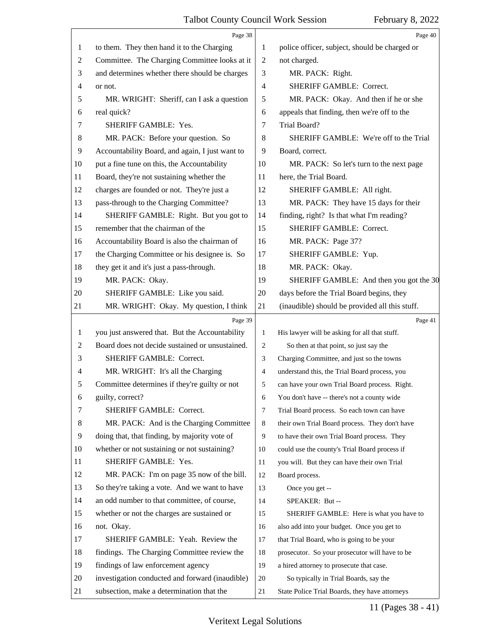<span id="page-10-0"></span>

|                | Page 38                                         |                          | Page 40                                        |
|----------------|-------------------------------------------------|--------------------------|------------------------------------------------|
| 1              | to them. They then hand it to the Charging      | 1                        | police officer, subject, should be charged or  |
| $\overline{c}$ | Committee. The Charging Committee looks at it   | $\overline{c}$           | not charged.                                   |
| 3              | and determines whether there should be charges  | 3                        | MR. PACK: Right.                               |
| 4              | or not.                                         | $\overline{\mathcal{A}}$ | SHERIFF GAMBLE: Correct.                       |
| 5              | MR. WRIGHT: Sheriff, can I ask a question       | 5                        | MR. PACK: Okay. And then if he or she          |
| 6              | real quick?                                     | 6                        | appeals that finding, then we're off to the    |
| 7              | SHERIFF GAMBLE: Yes.                            | 7                        | Trial Board?                                   |
| 8              | MR. PACK: Before your question. So              | 8                        | SHERIFF GAMBLE: We're off to the Trial         |
| 9              | Accountability Board, and again, I just want to | 9                        | Board, correct.                                |
| 10             | put a fine tune on this, the Accountability     | 10                       | MR. PACK: So let's turn to the next page       |
| 11             | Board, they're not sustaining whether the       | 11                       | here, the Trial Board.                         |
| 12             | charges are founded or not. They're just a      | 12                       | SHERIFF GAMBLE: All right.                     |
| 13             | pass-through to the Charging Committee?         | 13                       | MR. PACK: They have 15 days for their          |
| 14             | SHERIFF GAMBLE: Right. But you got to           | 14                       | finding, right? Is that what I'm reading?      |
| 15             | remember that the chairman of the               | 15                       | SHERIFF GAMBLE: Correct.                       |
| 16             | Accountability Board is also the chairman of    | 16                       | MR. PACK: Page 37?                             |
| 17             | the Charging Committee or his designee is. So   | 17                       | SHERIFF GAMBLE: Yup.                           |
| 18             | they get it and it's just a pass-through.       | 18                       | MR. PACK: Okay.                                |
| 19             | MR. PACK: Okay.                                 | 19                       | SHERIFF GAMBLE: And then you got the 30        |
| 20             | SHERIFF GAMBLE: Like you said.                  | 20                       | days before the Trial Board begins, they       |
| 21             | MR. WRIGHT: Okay. My question, I think          | 21                       | (inaudible) should be provided all this stuff. |
|                |                                                 |                          |                                                |
|                | Page 39                                         |                          | Page 41                                        |
| 1              | you just answered that. But the Accountability  | $\mathbf{1}$             | His lawyer will be asking for all that stuff.  |
| 2              | Board does not decide sustained or unsustained. | 2                        | So then at that point, so just say the         |
| 3              | <b>SHERIFF GAMBLE: Correct.</b>                 | 3                        | Charging Committee, and just so the towns      |
| 4              | MR. WRIGHT: It's all the Charging               | 4                        | understand this, the Trial Board process, you  |
|                | Committee determines if they're guilty or not   | 5                        | can have your own Trial Board process. Right.  |
| 6              | guilty, correct?                                | 6                        | You don't have -- there's not a county wide    |
| 7              | SHERIFF GAMBLE: Correct.                        | 7                        | Trial Board process. So each town can have     |
| 8              | MR. PACK: And is the Charging Committee         | 8                        | their own Trial Board process. They don't have |
| 9              | doing that, that finding, by majority vote of   | 9                        | to have their own Trial Board process. They    |
| 10             | whether or not sustaining or not sustaining?    | 10                       | could use the county's Trial Board process if  |
| 11             | SHERIFF GAMBLE: Yes.                            | 11                       | you will. But they can have their own Trial    |
| 12             | MR. PACK: I'm on page 35 now of the bill.       | 12                       | Board process.                                 |
| 13             | So they're taking a vote. And we want to have   | 13                       | Once you get --                                |
| 14             | an odd number to that committee, of course,     | 14                       | SPEAKER: But --                                |
| 15             | whether or not the charges are sustained or     | 15                       | SHERIFF GAMBLE: Here is what you have to       |
| 16             | not. Okay.                                      | 16                       | also add into your budget. Once you get to     |
| 17             | SHERIFF GAMBLE: Yeah. Review the                | 17                       | that Trial Board, who is going to be your      |
| 18             | findings. The Charging Committee review the     | 18                       | prosecutor. So your prosecutor will have to be |
| 19             | findings of law enforcement agency              | 19                       | a hired attorney to prosecute that case.       |
| 20             | investigation conducted and forward (inaudible) | 20                       | So typically in Trial Boards, say the          |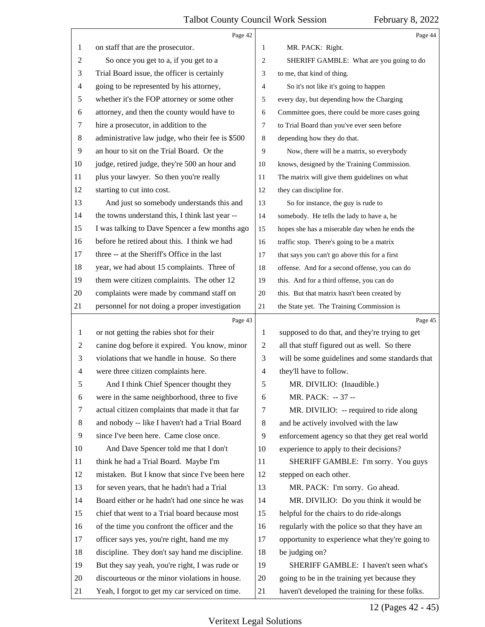<span id="page-11-0"></span>

|                | Page 42                                          |                          | Page 44                                         |
|----------------|--------------------------------------------------|--------------------------|-------------------------------------------------|
| 1              | on staff that are the prosecutor.                | 1                        | MR. PACK: Right.                                |
| 2              | So once you get to a, if you get to a            | 2                        | SHERIFF GAMBLE: What are you going to do        |
| 3              | Trial Board issue, the officer is certainly      | 3                        | to me, that kind of thing.                      |
| 4              | going to be represented by his attorney,         | $\overline{4}$           | So it's not like it's going to happen           |
| 5              | whether it's the FOP attorney or some other      | 5                        | every day, but depending how the Charging       |
| 6              | attorney, and then the county would have to      | 6                        | Committee goes, there could be more cases going |
| 7              | hire a prosecutor, in addition to the            | $\tau$                   | to Trial Board than you've ever seen before     |
| 8              | administrative law judge, who their fee is \$500 | 8                        | depending how they do that.                     |
| 9              | an hour to sit on the Trial Board. Or the        | 9                        | Now, there will be a matrix, so everybody       |
| 10             | judge, retired judge, they're 500 an hour and    | 10                       | knows, designed by the Training Commission.     |
| 11             | plus your lawyer. So then you're really          | 11                       | The matrix will give them guidelines on what    |
| 12             | starting to cut into cost.                       | 12                       | they can discipline for.                        |
| 13             | And just so somebody understands this and        | 13                       | So for instance, the guy is rude to             |
| 14             | the towns understand this, I think last year --  | 14                       | somebody. He tells the lady to have a, he       |
| 15             | I was talking to Dave Spencer a few months ago   | 15                       | hopes she has a miserable day when he ends the  |
| 16             | before he retired about this. I think we had     | 16                       | traffic stop. There's going to be a matrix      |
| 17             | three -- at the Sheriff's Office in the last     | 17                       | that says you can't go above this for a first   |
| 18             | year, we had about 15 complaints. Three of       | 18                       | offense. And for a second offense, you can do   |
| 19             | them were citizen complaints. The other 12       | 19                       | this. And for a third offense, you can do       |
| 20             | complaints were made by command staff on         | 20                       | this. But that matrix hasn't been created by    |
| 21             | personnel for not doing a proper investigation   | 21                       | the State yet. The Training Commission is       |
|                |                                                  |                          |                                                 |
|                | Page 43                                          |                          | Page 45                                         |
| 1              | or not getting the rabies shot for their         | $\mathbf{1}$             | supposed to do that, and they're trying to get  |
| $\overline{c}$ | canine dog before it expired. You know, minor    | $\overline{c}$           | all that stuff figured out as well. So there    |
| 3              | violations that we handle in house. So there     | 3                        | will be some guidelines and some standards that |
| 4              | were three citizen complaints here.              | $\overline{\mathcal{A}}$ | they'll have to follow.                         |
| 5              | And I think Chief Spencer thought they           | 5                        | MR. DIVILIO: (Inaudible.)                       |
| 6              | were in the same neighborhood, three to five     | 6                        | MR. PACK: -- 37 --                              |
| 7              | actual citizen complaints that made it that far  | $\tau$                   | MR. DIVILIO: -- required to ride along          |
| 8              | and nobody -- like I haven't had a Trial Board   | 8                        | and be actively involved with the law           |
| 9              | since I've been here. Came close once.           | 9                        | enforcement agency so that they get real world  |
| 10             | And Dave Spencer told me that I don't            | 10                       | experience to apply to their decisions?         |
| 11             | think he had a Trial Board. Maybe I'm            | 11                       | SHERIFF GAMBLE: I'm sorry. You guys             |
| 12             | mistaken. But I know that since I've been here   | 12                       | stepped on each other.                          |
| 13             | for seven years, that he hadn't had a Trial      | 13                       | MR. PACK: I'm sorry. Go ahead.                  |
| 14             | Board either or he hadn't had one since he was   | 14                       | MR. DIVILIO: Do you think it would be           |
| 15             | chief that went to a Trial board because most    | 15                       | helpful for the chairs to do ride-alongs        |
| 16             | of the time you confront the officer and the     | 16                       | regularly with the police so that they have an  |
| 17             | officer says yes, you're right, hand me my       | 17                       | opportunity to experience what they're going to |
| 18             | discipline. They don't say hand me discipline.   | 18                       | be judging on?                                  |
| 19             | But they say yeah, you're right, I was rude or   | 19                       | SHERIFF GAMBLE: I haven't seen what's           |
| 20             | discourteous or the minor violations in house.   | 20                       | going to be in the training yet because they    |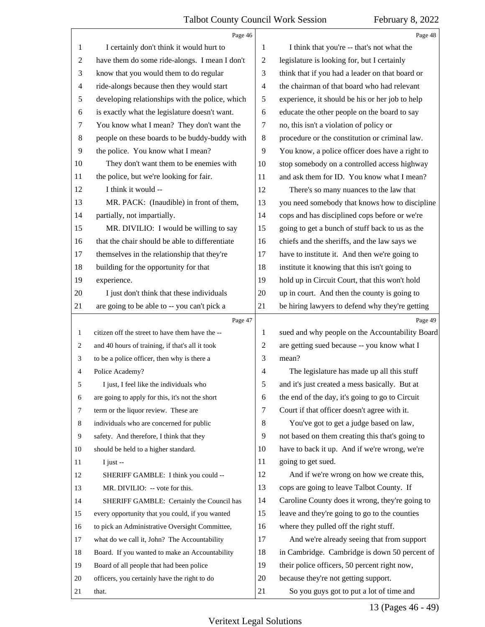<span id="page-12-0"></span>

|                | Page 46                                         |                | Page 48                                         |
|----------------|-------------------------------------------------|----------------|-------------------------------------------------|
| 1              | I certainly don't think it would hurt to        | 1              | I think that you're -- that's not what the      |
| $\overline{c}$ | have them do some ride-alongs. I mean I don't   | $\overline{2}$ | legislature is looking for, but I certainly     |
| 3              | know that you would them to do regular          | 3              | think that if you had a leader on that board or |
| $\overline{4}$ | ride-alongs because then they would start       | $\overline{4}$ | the chairman of that board who had relevant     |
| 5              | developing relationships with the police, which | 5              | experience, it should be his or her job to help |
| 6              | is exactly what the legislature doesn't want.   | 6              | educate the other people on the board to say    |
| 7              | You know what I mean? They don't want the       | 7              | no, this isn't a violation of policy or         |
| 8              | people on these boards to be buddy-buddy with   | 8              | procedure or the constitution or criminal law.  |
| 9              | the police. You know what I mean?               | 9              | You know, a police officer does have a right to |
| 10             | They don't want them to be enemies with         | 10             | stop somebody on a controlled access highway    |
| 11             | the police, but we're looking for fair.         | 11             | and ask them for ID. You know what I mean?      |
| 12             | I think it would --                             | 12             | There's so many nuances to the law that         |
| 13             | MR. PACK: (Inaudible) in front of them,         | 13             | you need somebody that knows how to discipline  |
| 14             | partially, not impartially.                     | 14             | cops and has disciplined cops before or we're   |
| 15             | MR. DIVILIO: I would be willing to say          | 15             | going to get a bunch of stuff back to us as the |
| 16             | that the chair should be able to differentiate  | 16             | chiefs and the sheriffs, and the law says we    |
| 17             | themselves in the relationship that they're     | 17             | have to institute it. And then we're going to   |
| 18             | building for the opportunity for that           | 18             | institute it knowing that this isn't going to   |
| 19             | experience.                                     | 19             | hold up in Circuit Court, that this won't hold  |
| 20             | I just don't think that these individuals       | 20             | up in court. And then the county is going to    |
| 21             | are going to be able to -- you can't pick a     | 21             | be hiring lawyers to defend why they're getting |
|                |                                                 |                |                                                 |
|                | Page 47                                         |                | Page 49                                         |
| 1              | citizen off the street to have them have the -- | 1              | sued and why people on the Accountability Board |
| 2              | and 40 hours of training, if that's all it took | 2              | are getting sued because -- you know what I     |
| 3              | to be a police officer, then why is there a     | 3              | mean?                                           |
| 4              | Police Academy?                                 | $\overline{4}$ | The legislature has made up all this stuff      |
| 5              | I just, I feel like the individuals who         | 5              | and it's just created a mess basically. But at  |
| 6              | are going to apply for this, it's not the short | 6              | the end of the day, it's going to go to Circuit |
| 7              | term or the liquor review. These are            | 7              | Court if that officer doesn't agree with it.    |
| 8              | individuals who are concerned for public        | 8              | You've got to get a judge based on law,         |
| 9              | safety. And therefore, I think that they        | 9              | not based on them creating this that's going to |
| 10             | should be held to a higher standard.            | 10             | have to back it up. And if we're wrong, we're   |
| 11             | I just $-$                                      | 11             | going to get sued.                              |
| 12             | SHERIFF GAMBLE: I think you could --            | 12             | And if we're wrong on how we create this,       |
| 13             | MR. DIVILIO: -- vote for this.                  | 13             | cops are going to leave Talbot County. If       |
| 14             | SHERIFF GAMBLE: Certainly the Council has       | 14             | Caroline County does it wrong, they're going to |
| 15             | every opportunity that you could, if you wanted | 15             | leave and they're going to go to the counties   |
| 16             | to pick an Administrative Oversight Committee,  | 16             | where they pulled off the right stuff.          |
| 17             | what do we call it, John? The Accountability    | 17             | And we're already seeing that from support      |
| 18             | Board. If you wanted to make an Accountability  | 18             | in Cambridge. Cambridge is down 50 percent of   |
| 19             | Board of all people that had been police        | 19             | their police officers, 50 percent right now,    |
| 20             | officers, you certainly have the right to do    | 20             | because they're not getting support.            |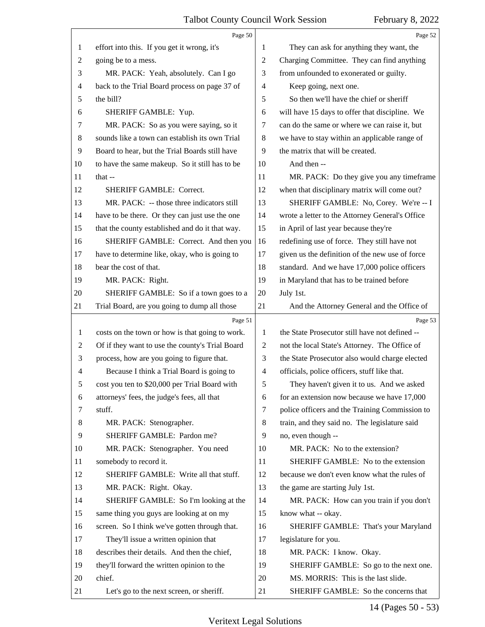<span id="page-13-0"></span>

|                | Page 50                                         |                | Page 52                                         |
|----------------|-------------------------------------------------|----------------|-------------------------------------------------|
| 1              | effort into this. If you get it wrong, it's     | 1              | They can ask for anything they want, the        |
| $\overline{c}$ | going be to a mess.                             | 2              | Charging Committee. They can find anything      |
| 3              | MR. PACK: Yeah, absolutely. Can I go            | 3              | from unfounded to exonerated or guilty.         |
| 4              | back to the Trial Board process on page 37 of   | 4              | Keep going, next one.                           |
| 5              | the bill?                                       | 5              | So then we'll have the chief or sheriff         |
| 6              | SHERIFF GAMBLE: Yup.                            | 6              | will have 15 days to offer that discipline. We  |
| 7              | MR. PACK: So as you were saying, so it          | 7              | can do the same or where we can raise it, but   |
| $\,8\,$        | sounds like a town can establish its own Trial  | 8              | we have to stay within an applicable range of   |
| 9              | Board to hear, but the Trial Boards still have  | 9              | the matrix that will be created.                |
| 10             | to have the same makeup. So it still has to be  | 10             | And then --                                     |
| 11             | that $-$                                        | 11             | MR. PACK: Do they give you any timeframe        |
| 12             | <b>SHERIFF GAMBLE: Correct.</b>                 | 12             | when that disciplinary matrix will come out?    |
| 13             | MR. PACK: -- those three indicators still       | 13             | SHERIFF GAMBLE: No, Corey. We're -- I           |
| 14             | have to be there. Or they can just use the one  | 14             | wrote a letter to the Attorney General's Office |
| 15             | that the county established and do it that way. | 15             | in April of last year because they're           |
| 16             | SHERIFF GAMBLE: Correct. And then you           | 16             | redefining use of force. They still have not    |
| 17             | have to determine like, okay, who is going to   | 17             | given us the definition of the new use of force |
| 18             | bear the cost of that.                          | 18             | standard. And we have 17,000 police officers    |
| 19             | MR. PACK: Right.                                | 19             | in Maryland that has to be trained before       |
| 20             | SHERIFF GAMBLE: So if a town goes to a          | 20             | July 1st.                                       |
| 21             | Trial Board, are you going to dump all those    | 21             | And the Attorney General and the Office of      |
|                | Page 51                                         |                | Page 53                                         |
|                |                                                 |                |                                                 |
| $\mathbf{1}$   | costs on the town or how is that going to work. | 1              | the State Prosecutor still have not defined --  |
| 2              | Of if they want to use the county's Trial Board | 2              | not the local State's Attorney. The Office of   |
| 3              | process, how are you going to figure that.      | 3              | the State Prosecutor also would charge elected  |
| $\overline{4}$ | Because I think a Trial Board is going to       | $\overline{4}$ | officials, police officers, stuff like that.    |
| 5              | cost you ten to \$20,000 per Trial Board with   | 5              | They haven't given it to us. And we asked       |
| 6              | attorneys' fees, the judge's fees, all that     | 6              | for an extension now because we have 17,000     |
| 7              | stuff.                                          | 7              | police officers and the Training Commission to  |
| 8              | MR. PACK: Stenographer.                         | 8              | train, and they said no. The legislature said   |
| 9              | SHERIFF GAMBLE: Pardon me?                      | 9              | no, even though --                              |
| 10             | MR. PACK: Stenographer. You need                | 10             | MR. PACK: No to the extension?                  |
| 11             | somebody to record it.                          | 11             | SHERIFF GAMBLE: No to the extension             |
| 12             | SHERIFF GAMBLE: Write all that stuff.           | 12             | because we don't even know what the rules of    |
| 13             | MR. PACK: Right. Okay.                          | 13             | the game are starting July 1st.                 |
| 14             | SHERIFF GAMBLE: So I'm looking at the           | 14             | MR. PACK: How can you train if you don't        |
| 15             | same thing you guys are looking at on my        | 15             | know what -- okay.                              |
| 16             | screen. So I think we've gotten through that.   | 16             | SHERIFF GAMBLE: That's your Maryland            |
| 17             | They'll issue a written opinion that            | 17             | legislature for you.                            |
| 18             | describes their details. And then the chief,    | 18             | MR. PACK: I know. Okay.                         |
| 19             | they'll forward the written opinion to the      | 19             | SHERIFF GAMBLE: So go to the next one.          |
| 20             | chief.                                          | 20             | MS. MORRIS: This is the last slide.             |

14 (Pages 50 - 53)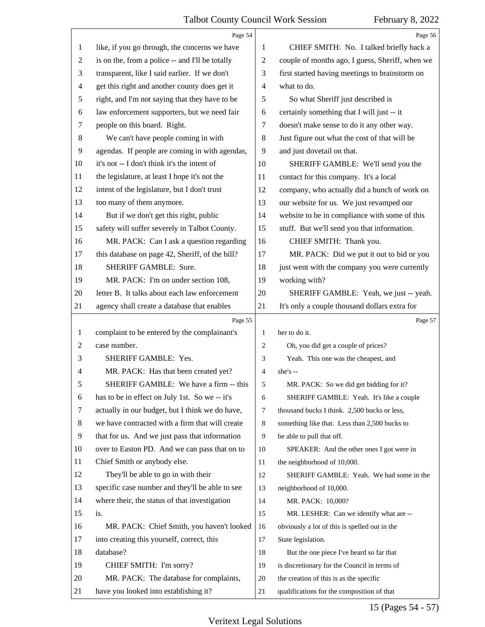<span id="page-14-0"></span>

|                          | Page 54                                         |              | Page 56                                         |
|--------------------------|-------------------------------------------------|--------------|-------------------------------------------------|
| 1                        | like, if you go through, the concerns we have   | 1            | CHIEF SMITH: No. I talked briefly back a        |
| $\overline{2}$           | is on the, from a police -- and I'll be totally | 2            | couple of months ago, I guess, Sheriff, when we |
| 3                        | transparent, like I said earlier. If we don't   | 3            | first started having meetings to brainstorm on  |
| $\overline{\mathcal{A}}$ | get this right and another county does get it   | 4            | what to do.                                     |
| 5                        | right, and I'm not saying that they have to be  | 5            | So what Sheriff just described is               |
| 6                        | law enforcement supporters, but we need fair    | 6            | certainly something that I will just -- it      |
| 7                        | people on this board. Right.                    | 7            | doesn't make sense to do it any other way.      |
| 8                        | We can't have people coming in with             | 8            | Just figure out what the cost of that will be   |
| 9                        | agendas. If people are coming in with agendas,  | 9            | and just dovetail on that.                      |
| 10                       | it's not -- I don't think it's the intent of    | 10           | SHERIFF GAMBLE: We'll send you the              |
| 11                       | the legislature, at least I hope it's not the   | 11           | contact for this company. It's a local          |
| 12                       | intent of the legislature, but I don't trust    | 12           | company, who actually did a bunch of work on    |
| 13                       | too many of them anymore.                       | 13           | our website for us. We just revamped our        |
| 14                       | But if we don't get this right, public          | 14           | website to be in compliance with some of this   |
| 15                       | safety will suffer severely in Talbot County.   | 15           | stuff. But we'll send you that information.     |
| 16                       | MR. PACK: Can I ask a question regarding        | 16           | CHIEF SMITH: Thank you.                         |
| 17                       | this database on page 42, Sheriff, of the bill? | 17           | MR. PACK: Did we put it out to bid or you       |
| 18                       | SHERIFF GAMBLE: Sure.                           | 18           | just went with the company you were currently   |
| 19                       | MR. PACK: I'm on under section 108,             | 19           | working with?                                   |
| 20                       | letter B. It talks about each law enforcement   | 20           | SHERIFF GAMBLE: Yeah, we just -- yeah.          |
| 21                       | agency shall create a database that enables     | 21           | It's only a couple thousand dollars extra for   |
|                          |                                                 |              |                                                 |
|                          | Page 55                                         |              | Page 57                                         |
| 1                        | complaint to be entered by the complainant's    | $\mathbf{1}$ | her to do it.                                   |
| 2                        | case number.                                    | 2            | Oh, you did get a couple of prices?             |
| 3                        | SHERIFF GAMBLE: Yes.                            | 3            | Yeah. This one was the cheapest, and            |
| 4                        | MR. PACK: Has that been created yet?            | 4            | she's --                                        |
| 5                        | SHERIFF GAMBLE: We have a firm -- this          | $\sqrt{5}$   | MR. PACK: So we did get bidding for it?         |
| 6                        | has to be in effect on July 1st. So we -- it's  | 6            | SHERIFF GAMBLE: Yeah. It's like a couple        |
| 7                        | actually in our budget, but I think we do have, | 7            | thousand bucks I think. 2,500 bucks or less,    |
| 8                        | we have contracted with a firm that will create | 8            | something like that. Less than 2,500 bucks to   |
| 9                        | that for us. And we just pass that information  | 9            | be able to pull that off.                       |
| 10                       | over to Easton PD. And we can pass that on to   | 10           | SPEAKER: And the other ones I got were in       |
| 11                       | Chief Smith or anybody else.                    | 11           | the neighborhood of 10,000.                     |
| 12                       | They'll be able to go in with their             | 12           | SHERIFF GAMBLE: Yeah. We had some in the        |
| 13                       | specific case number and they'll be able to see | 13           | neighborhood of 10,000.                         |
| 14                       | where their, the status of that investigation   | 14           | MR. PACK: 10,000?                               |
| 15                       | is.                                             | 15           | MR. LESHER: Can we identify what are --         |
| 16                       | MR. PACK: Chief Smith, you haven't looked       | 16           | obviously a lot of this is spelled out in the   |
| 17                       | into creating this yourself, correct, this      | 17           | State legislation.                              |
| 18                       | database?                                       | 18           | But the one piece I've heard so far that        |
| 19                       | CHIEF SMITH: I'm sorry?                         | 19           | is discretionary for the Council in terms of    |
| 20                       | MR. PACK: The database for complaints,          | 20           | the creation of this is as the specific         |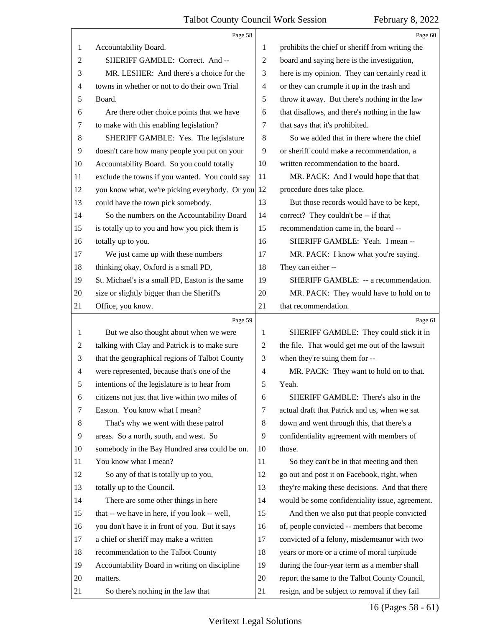<span id="page-15-0"></span>

|                | Page 58                                         |                          | Page 60                                         |
|----------------|-------------------------------------------------|--------------------------|-------------------------------------------------|
| 1              | Accountability Board.                           | 1                        | prohibits the chief or sheriff from writing the |
| 2              | SHERIFF GAMBLE: Correct. And --                 | $\overline{c}$           | board and saying here is the investigation,     |
| 3              | MR. LESHER: And there's a choice for the        | 3                        | here is my opinion. They can certainly read it  |
| 4              | towns in whether or not to do their own Trial   | $\overline{\mathcal{A}}$ | or they can crumple it up in the trash and      |
| 5              | Board.                                          | 5                        | throw it away. But there's nothing in the law   |
| 6              | Are there other choice points that we have      | 6                        | that disallows, and there's nothing in the law  |
| 7              | to make with this enabling legislation?         | 7                        | that says that it's prohibited.                 |
| $\,8\,$        | SHERIFF GAMBLE: Yes. The legislature            | 8                        | So we added that in there where the chief       |
| 9              | doesn't care how many people you put on your    | 9                        | or sheriff could make a recommendation, a       |
| 10             | Accountability Board. So you could totally      | 10                       | written recommendation to the board.            |
| 11             | exclude the towns if you wanted. You could say  | 11                       | MR. PACK: And I would hope that that            |
| 12             | you know what, we're picking everybody. Or you  | 12                       | procedure does take place.                      |
| 13             | could have the town pick somebody.              | 13                       | But those records would have to be kept,        |
| 14             | So the numbers on the Accountability Board      | 14                       | correct? They couldn't be -- if that            |
| 15             | is totally up to you and how you pick them is   | 15                       | recommendation came in, the board --            |
| 16             | totally up to you.                              | 16                       | SHERIFF GAMBLE: Yeah. I mean --                 |
| 17             | We just came up with these numbers              | 17                       | MR. PACK: I know what you're saying.            |
| 18             | thinking okay, Oxford is a small PD,            | 18                       | They can either --                              |
| 19             | St. Michael's is a small PD, Easton is the same | 19                       | SHERIFF GAMBLE: -- a recommendation.            |
| 20             | size or slightly bigger than the Sheriff's      | 20                       | MR. PACK: They would have to hold on to         |
| 21             | Office, you know.                               | 21                       | that recommendation.                            |
|                |                                                 |                          |                                                 |
|                | Page 59                                         |                          | Page 61                                         |
| 1              | But we also thought about when we were          | 1                        | SHERIFF GAMBLE: They could stick it in          |
| $\overline{c}$ | talking with Clay and Patrick is to make sure   | 2                        | the file. That would get me out of the lawsuit  |
| 3              | that the geographical regions of Talbot County  | 3                        | when they're suing them for --                  |
| 4              | were represented, because that's one of the     | $\overline{4}$           | MR. PACK: They want to hold on to that.         |
| 5              | intentions of the legislature is to hear from   | 5                        | Yeah.                                           |
| 6              | citizens not just that live within two miles of | 6                        | SHERIFF GAMBLE: There's also in the             |
| 7              | Easton. You know what I mean?                   | 7                        | actual draft that Patrick and us, when we sat   |
| 8              | That's why we went with these patrol            | 8                        | down and went through this, that there's a      |
| 9              | areas. So a north, south, and west. So          | 9                        | confidentiality agreement with members of       |
| 10             | somebody in the Bay Hundred area could be on.   | 10                       | those.                                          |
| 11             | You know what I mean?                           | 11                       | So they can't be in that meeting and then       |
| 12             | So any of that is totally up to you,            | 12                       | go out and post it on Facebook, right, when     |
| 13             | totally up to the Council.                      | 13                       | they're making these decisions. And that there  |
| 14             | There are some other things in here             | 14                       | would be some confidentiality issue, agreement. |
| 15             | that -- we have in here, if you look -- well,   | 15                       | And then we also put that people convicted      |
| 16             | you don't have it in front of you. But it says  | 16                       | of, people convicted -- members that become     |
| 17             | a chief or sheriff may make a written           | 17                       | convicted of a felony, misdemeanor with two     |
| 18             | recommendation to the Talbot County             | 18                       | years or more or a crime of moral turpitude     |
| 19             | Accountability Board in writing on discipline   | 19                       | during the four-year term as a member shall     |
| 20             | matters.                                        | 20                       | report the same to the Talbot County Council,   |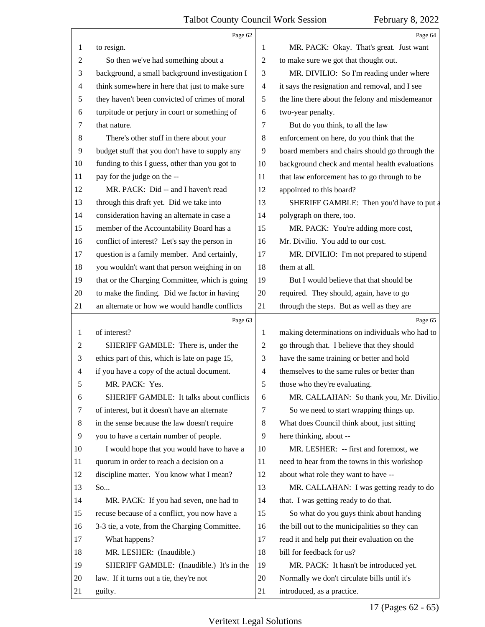<span id="page-16-0"></span>

|                          | Page 62                                        |                | Page 64                                         |
|--------------------------|------------------------------------------------|----------------|-------------------------------------------------|
| 1                        | to resign.                                     | 1              | MR. PACK: Okay. That's great. Just want         |
| 2                        | So then we've had something about a            | $\overline{2}$ | to make sure we got that thought out.           |
| 3                        | background, a small background investigation I | 3              | MR. DIVILIO: So I'm reading under where         |
| $\overline{\mathcal{A}}$ | think somewhere in here that just to make sure | $\overline{4}$ | it says the resignation and removal, and I see  |
| 5                        | they haven't been convicted of crimes of moral | 5              | the line there about the felony and misdemeanor |
| 6                        | turpitude or perjury in court or something of  | 6              | two-year penalty.                               |
| 7                        | that nature.                                   | 7              | But do you think, to all the law                |
| $\,8\,$                  | There's other stuff in there about your        | 8              | enforcement on here, do you think that the      |
| 9                        | budget stuff that you don't have to supply any | 9              | board members and chairs should go through the  |
| 10                       | funding to this I guess, other than you got to | 10             | background check and mental health evaluations  |
| 11                       | pay for the judge on the --                    | 11             | that law enforcement has to go through to be    |
| 12                       | MR. PACK: Did -- and I haven't read            | 12             | appointed to this board?                        |
| 13                       | through this draft yet. Did we take into       | 13             | SHERIFF GAMBLE: Then you'd have to put a        |
| 14                       | consideration having an alternate in case a    | 14             | polygraph on there, too.                        |
| 15                       | member of the Accountability Board has a       | 15             | MR. PACK: You're adding more cost,              |
| 16                       | conflict of interest? Let's say the person in  | 16             | Mr. Divilio. You add to our cost.               |
| 17                       | question is a family member. And certainly,    | 17             | MR. DIVILIO: I'm not prepared to stipend        |
| 18                       | you wouldn't want that person weighing in on   | 18             | them at all.                                    |
| 19                       | that or the Charging Committee, which is going | 19             | But I would believe that that should be         |
| 20                       | to make the finding. Did we factor in having   | 20             | required. They should, again, have to go        |
| 21                       | an alternate or how we would handle conflicts  | 21             | through the steps. But as well as they are      |
|                          |                                                |                |                                                 |
|                          | Page 63                                        |                | Page 65                                         |
| $\mathbf{1}$             | of interest?                                   | 1              | making determinations on individuals who had to |
| 2                        | SHERIFF GAMBLE: There is, under the            | 2              | go through that. I believe that they should     |
| 3                        | ethics part of this, which is late on page 15, | 3              | have the same training or better and hold       |
| 4                        | if you have a copy of the actual document.     | 4              | themselves to the same rules or better than     |
| 5                        | MR. PACK: Yes.                                 | 5              | those who they're evaluating.                   |
| 6                        | SHERIFF GAMBLE: It talks about conflicts       | 6              | MR. CALLAHAN: So thank you, Mr. Divilio.        |
| 7                        | of interest, but it doesn't have an alternate  | 7              | So we need to start wrapping things up.         |
| 8                        | in the sense because the law doesn't require   | 8              | What does Council think about, just sitting     |
| 9                        | you to have a certain number of people.        | 9              | here thinking, about --                         |
| 10                       | I would hope that you would have to have a     | 10             | MR. LESHER: -- first and foremost, we           |
| 11                       | quorum in order to reach a decision on a       | 11             | need to hear from the towns in this workshop    |
| 12                       | discipline matter. You know what I mean?       | 12             | about what role they want to have --            |
| 13                       | So                                             | 13             | MR. CALLAHAN: I was getting ready to do         |
| 14                       | MR. PACK: If you had seven, one had to         | 14             | that. I was getting ready to do that.           |
| 15                       | recuse because of a conflict, you now have a   | 15             | So what do you guys think about handing         |
| 16                       | 3-3 tie, a vote, from the Charging Committee.  | 16             | the bill out to the municipalities so they can  |
| 17                       | What happens?                                  | 17             | read it and help put their evaluation on the    |
| 18                       | MR. LESHER: (Inaudible.)                       | 18             | bill for feedback for us?                       |
| 19                       | SHERIFF GAMBLE: (Inaudible.) It's in the       | 19             | MR. PACK: It hasn't be introduced yet.          |
| 20                       | law. If it turns out a tie, they're not        | 20             | Normally we don't circulate bills until it's    |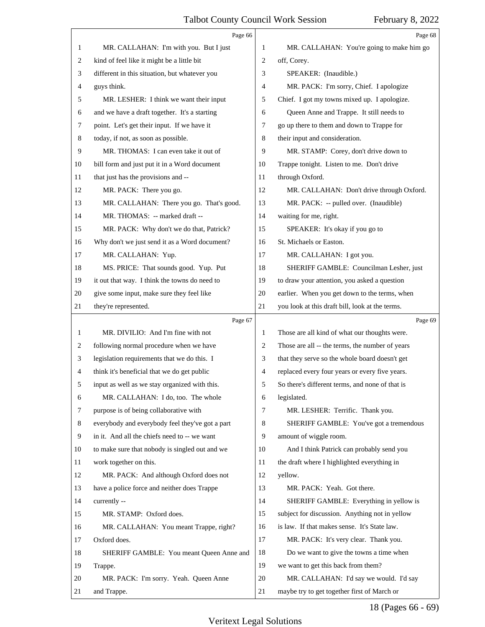<span id="page-17-0"></span>

|    | Page 66                                         |                | Page 68                                         |
|----|-------------------------------------------------|----------------|-------------------------------------------------|
| 1  | MR. CALLAHAN: I'm with you. But I just          | 1              | MR. CALLAHAN: You're going to make him go       |
| 2  | kind of feel like it might be a little bit      | $\overline{2}$ | off, Corey.                                     |
| 3  | different in this situation, but whatever you   | 3              | SPEAKER: (Inaudible.)                           |
| 4  | guys think.                                     | 4              | MR. PACK: I'm sorry, Chief. I apologize         |
| 5  | MR. LESHER: I think we want their input         | 5              | Chief. I got my towns mixed up. I apologize.    |
| 6  | and we have a draft together. It's a starting   | 6              | Queen Anne and Trappe. It still needs to        |
| 7  | point. Let's get their input. If we have it     | 7              | go up there to them and down to Trappe for      |
| 8  | today, if not, as soon as possible.             | 8              | their input and consideration.                  |
| 9  | MR. THOMAS: I can even take it out of           | 9              | MR. STAMP: Corey, don't drive down to           |
| 10 | bill form and just put it in a Word document    | 10             | Trappe tonight. Listen to me. Don't drive       |
| 11 | that just has the provisions and --             | 11             | through Oxford.                                 |
| 12 | MR. PACK: There you go.                         | 12             | MR. CALLAHAN: Don't drive through Oxford.       |
| 13 | MR. CALLAHAN: There you go. That's good.        | 13             | MR. PACK: -- pulled over. (Inaudible)           |
| 14 | MR. THOMAS: -- marked draft --                  | 14             | waiting for me, right.                          |
| 15 | MR. PACK: Why don't we do that, Patrick?        | 15             | SPEAKER: It's okay if you go to                 |
| 16 | Why don't we just send it as a Word document?   | 16             | St. Michaels or Easton.                         |
| 17 | MR. CALLAHAN: Yup.                              | 17             | MR. CALLAHAN: I got you.                        |
| 18 | MS. PRICE: That sounds good. Yup. Put           | 18             | SHERIFF GAMBLE: Councilman Lesher, just         |
| 19 | it out that way. I think the towns do need to   | 19             | to draw your attention, you asked a question    |
| 20 | give some input, make sure they feel like       | 20             | earlier. When you get down to the terms, when   |
| 21 | they're represented.                            | 21             | you look at this draft bill, look at the terms. |
|    |                                                 |                |                                                 |
|    | Page 67                                         |                | Page 69                                         |
| 1  | MR. DIVILIO: And I'm fine with not              | 1              | Those are all kind of what our thoughts were.   |
| 2  | following normal procedure when we have         | 2              | Those are all -- the terms, the number of years |
| 3  | legislation requirements that we do this. I     | 3              | that they serve so the whole board doesn't get  |
| 4  | think it's beneficial that we do get public     | 4              | replaced every four years or every five years.  |
| 5  | input as well as we stay organized with this.   | 5              | So there's different terms, and none of that is |
| 6  | MR. CALLAHAN: I do, too. The whole              | 6              | legislated.                                     |
| 7  | purpose is of being collaborative with          | 7              | MR. LESHER: Terrific. Thank you.                |
| 8  | everybody and everybody feel they've got a part | 8              | SHERIFF GAMBLE: You've got a tremendous         |
| 9  | in it. And all the chiefs need to -- we want    | 9              | amount of wiggle room.                          |
| 10 | to make sure that nobody is singled out and we  | 10             | And I think Patrick can probably send you       |
| 11 | work together on this.                          | 11             | the draft where I highlighted everything in     |
| 12 | MR. PACK: And although Oxford does not          | 12             | yellow.                                         |
| 13 | have a police force and neither does Trappe     | 13             | MR. PACK: Yeah. Got there.                      |
| 14 | currently --                                    | 14             | SHERIFF GAMBLE: Everything in yellow is         |
| 15 | MR. STAMP: Oxford does.                         | 15             | subject for discussion. Anything not in yellow  |
| 16 | MR. CALLAHAN: You meant Trappe, right?          | 16             | is law. If that makes sense. It's State law.    |
| 17 | Oxford does.                                    | 17             | MR. PACK: It's very clear. Thank you.           |
| 18 | SHERIFF GAMBLE: You meant Queen Anne and        | 18             | Do we want to give the towns a time when        |
| 19 | Trappe.                                         | 19             | we want to get this back from them?             |
| 20 | MR. PACK: I'm sorry. Yeah. Queen Anne           | 20             | MR. CALLAHAN: I'd say we would. I'd say         |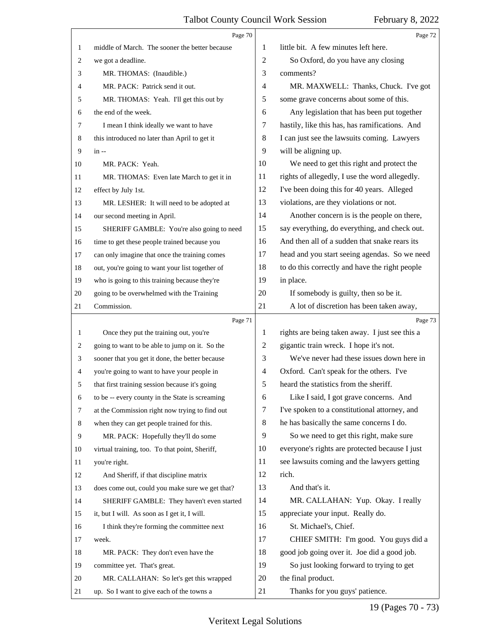<span id="page-18-0"></span>

|    | Page 70                                         |    | Page 72                                        |
|----|-------------------------------------------------|----|------------------------------------------------|
| 1  | middle of March. The sooner the better because  | 1  | little bit. A few minutes left here.           |
| 2  | we got a deadline.                              | 2  | So Oxford, do you have any closing             |
| 3  | MR. THOMAS: (Inaudible.)                        | 3  | comments?                                      |
| 4  | MR. PACK: Patrick send it out.                  | 4  | MR. MAXWELL: Thanks, Chuck. I've got           |
| 5  | MR. THOMAS: Yeah. I'll get this out by          | 5  | some grave concerns about some of this.        |
| 6  | the end of the week.                            | 6  | Any legislation that has been put together     |
| 7  | I mean I think ideally we want to have          | 7  | hastily, like this has, has ramifications. And |
| 8  | this introduced no later than April to get it   | 8  | I can just see the lawsuits coming. Lawyers    |
| 9  | $in -$                                          | 9  | will be aligning up.                           |
| 10 | MR. PACK: Yeah.                                 | 10 | We need to get this right and protect the      |
| 11 | MR. THOMAS: Even late March to get it in        | 11 | rights of allegedly, I use the word allegedly. |
| 12 | effect by July 1st.                             | 12 | I've been doing this for 40 years. Alleged     |
| 13 | MR. LESHER: It will need to be adopted at       | 13 | violations, are they violations or not.        |
| 14 | our second meeting in April.                    | 14 | Another concern is is the people on there,     |
| 15 | SHERIFF GAMBLE: You're also going to need       | 15 | say everything, do everything, and check out.  |
| 16 | time to get these people trained because you    | 16 | And then all of a sudden that snake rears its  |
| 17 | can only imagine that once the training comes   | 17 | head and you start seeing agendas. So we need  |
| 18 | out, you're going to want your list together of | 18 | to do this correctly and have the right people |
| 19 | who is going to this training because they're   | 19 | in place.                                      |
| 20 | going to be overwhelmed with the Training       | 20 | If somebody is guilty, then so be it.          |
| 21 | Commission.                                     | 21 | A lot of discretion has been taken away,       |
|    |                                                 |    |                                                |
|    | Page 71                                         |    | Page 73                                        |
| 1  | Once they put the training out, you're          | 1  | rights are being taken away. I just see this a |
| 2  | going to want to be able to jump on it. So the  | 2  | gigantic train wreck. I hope it's not.         |
| 3  | sooner that you get it done, the better because | 3  | We've never had these issues down here in      |
| 4  | you're going to want to have your people in     | 4  | Oxford. Can't speak for the others. I've       |
| 5  | that first training session because it's going  | 5  | heard the statistics from the sheriff.         |
| 6  | to be -- every county in the State is screaming | 6  | Like I said, I got grave concerns. And         |
| 7  | at the Commission right now trying to find out  | 7  | I've spoken to a constitutional attorney, and  |
| 8  | when they can get people trained for this.      | 8  | he has basically the same concerns I do.       |
| 9  | MR. PACK: Hopefully they'll do some             | 9  | So we need to get this right, make sure        |
| 10 | virtual training, too. To that point, Sheriff,  | 10 | everyone's rights are protected because I just |
| 11 | you're right.                                   | 11 | see lawsuits coming and the lawyers getting    |
| 12 | And Sheriff, if that discipline matrix          | 12 | rich.                                          |
| 13 | does come out, could you make sure we get that? | 13 | And that's it.                                 |
| 14 | SHERIFF GAMBLE: They haven't even started       | 14 | MR. CALLAHAN: Yup. Okay. I really              |
| 15 | it, but I will. As soon as I get it, I will.    | 15 | appreciate your input. Really do.              |
| 16 | I think they're forming the committee next      | 16 | St. Michael's, Chief.                          |
| 17 | week.                                           | 17 | CHIEF SMITH: I'm good. You guys did a          |
| 18 | MR. PACK: They don't even have the              | 18 | good job going over it. Joe did a good job.    |
| 19 | committee yet. That's great.                    | 19 | So just looking forward to trying to get       |
| 20 | MR. CALLAHAN: So let's get this wrapped         | 20 | the final product.                             |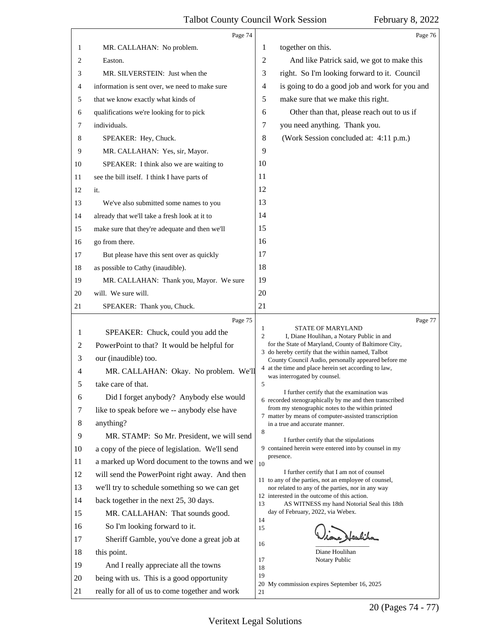<span id="page-19-0"></span>

|                                                                                                        | Page 74                                                                                                                                                                                                                                                                                                                                                                                                                                                                                                                                                                                                                                                                                                                                                                                                        | Page 76                                                                                                                                                                                                                                                                                                                                                                                                                                                                                                                                                                                                                                                                                                                                                                                                                                                                                                                                                                                                                                                                                                                                                                                  |
|--------------------------------------------------------------------------------------------------------|----------------------------------------------------------------------------------------------------------------------------------------------------------------------------------------------------------------------------------------------------------------------------------------------------------------------------------------------------------------------------------------------------------------------------------------------------------------------------------------------------------------------------------------------------------------------------------------------------------------------------------------------------------------------------------------------------------------------------------------------------------------------------------------------------------------|------------------------------------------------------------------------------------------------------------------------------------------------------------------------------------------------------------------------------------------------------------------------------------------------------------------------------------------------------------------------------------------------------------------------------------------------------------------------------------------------------------------------------------------------------------------------------------------------------------------------------------------------------------------------------------------------------------------------------------------------------------------------------------------------------------------------------------------------------------------------------------------------------------------------------------------------------------------------------------------------------------------------------------------------------------------------------------------------------------------------------------------------------------------------------------------|
| 1                                                                                                      | MR. CALLAHAN: No problem.                                                                                                                                                                                                                                                                                                                                                                                                                                                                                                                                                                                                                                                                                                                                                                                      | together on this.<br>1                                                                                                                                                                                                                                                                                                                                                                                                                                                                                                                                                                                                                                                                                                                                                                                                                                                                                                                                                                                                                                                                                                                                                                   |
| 2                                                                                                      | Easton.                                                                                                                                                                                                                                                                                                                                                                                                                                                                                                                                                                                                                                                                                                                                                                                                        | $\overline{2}$<br>And like Patrick said, we got to make this                                                                                                                                                                                                                                                                                                                                                                                                                                                                                                                                                                                                                                                                                                                                                                                                                                                                                                                                                                                                                                                                                                                             |
| 3                                                                                                      | MR. SILVERSTEIN: Just when the                                                                                                                                                                                                                                                                                                                                                                                                                                                                                                                                                                                                                                                                                                                                                                                 | right. So I'm looking forward to it. Council<br>3                                                                                                                                                                                                                                                                                                                                                                                                                                                                                                                                                                                                                                                                                                                                                                                                                                                                                                                                                                                                                                                                                                                                        |
| 4                                                                                                      | information is sent over, we need to make sure                                                                                                                                                                                                                                                                                                                                                                                                                                                                                                                                                                                                                                                                                                                                                                 | is going to do a good job and work for you and<br>4                                                                                                                                                                                                                                                                                                                                                                                                                                                                                                                                                                                                                                                                                                                                                                                                                                                                                                                                                                                                                                                                                                                                      |
| 5                                                                                                      | that we know exactly what kinds of                                                                                                                                                                                                                                                                                                                                                                                                                                                                                                                                                                                                                                                                                                                                                                             | 5<br>make sure that we make this right.                                                                                                                                                                                                                                                                                                                                                                                                                                                                                                                                                                                                                                                                                                                                                                                                                                                                                                                                                                                                                                                                                                                                                  |
| 6                                                                                                      | qualifications we're looking for to pick                                                                                                                                                                                                                                                                                                                                                                                                                                                                                                                                                                                                                                                                                                                                                                       | Other than that, please reach out to us if<br>6                                                                                                                                                                                                                                                                                                                                                                                                                                                                                                                                                                                                                                                                                                                                                                                                                                                                                                                                                                                                                                                                                                                                          |
| 7                                                                                                      | individuals.                                                                                                                                                                                                                                                                                                                                                                                                                                                                                                                                                                                                                                                                                                                                                                                                   | you need anything. Thank you.<br>7                                                                                                                                                                                                                                                                                                                                                                                                                                                                                                                                                                                                                                                                                                                                                                                                                                                                                                                                                                                                                                                                                                                                                       |
| 8                                                                                                      | SPEAKER: Hey, Chuck.                                                                                                                                                                                                                                                                                                                                                                                                                                                                                                                                                                                                                                                                                                                                                                                           | (Work Session concluded at: 4:11 p.m.)<br>8                                                                                                                                                                                                                                                                                                                                                                                                                                                                                                                                                                                                                                                                                                                                                                                                                                                                                                                                                                                                                                                                                                                                              |
| 9                                                                                                      | MR. CALLAHAN: Yes, sir, Mayor.                                                                                                                                                                                                                                                                                                                                                                                                                                                                                                                                                                                                                                                                                                                                                                                 | 9                                                                                                                                                                                                                                                                                                                                                                                                                                                                                                                                                                                                                                                                                                                                                                                                                                                                                                                                                                                                                                                                                                                                                                                        |
| 10                                                                                                     | SPEAKER: I think also we are waiting to                                                                                                                                                                                                                                                                                                                                                                                                                                                                                                                                                                                                                                                                                                                                                                        | 10                                                                                                                                                                                                                                                                                                                                                                                                                                                                                                                                                                                                                                                                                                                                                                                                                                                                                                                                                                                                                                                                                                                                                                                       |
| 11                                                                                                     | see the bill itself. I think I have parts of                                                                                                                                                                                                                                                                                                                                                                                                                                                                                                                                                                                                                                                                                                                                                                   | 11                                                                                                                                                                                                                                                                                                                                                                                                                                                                                                                                                                                                                                                                                                                                                                                                                                                                                                                                                                                                                                                                                                                                                                                       |
| 12                                                                                                     | it.                                                                                                                                                                                                                                                                                                                                                                                                                                                                                                                                                                                                                                                                                                                                                                                                            | 12                                                                                                                                                                                                                                                                                                                                                                                                                                                                                                                                                                                                                                                                                                                                                                                                                                                                                                                                                                                                                                                                                                                                                                                       |
| 13                                                                                                     | We've also submitted some names to you                                                                                                                                                                                                                                                                                                                                                                                                                                                                                                                                                                                                                                                                                                                                                                         | 13                                                                                                                                                                                                                                                                                                                                                                                                                                                                                                                                                                                                                                                                                                                                                                                                                                                                                                                                                                                                                                                                                                                                                                                       |
| 14                                                                                                     | already that we'll take a fresh look at it to                                                                                                                                                                                                                                                                                                                                                                                                                                                                                                                                                                                                                                                                                                                                                                  | 14                                                                                                                                                                                                                                                                                                                                                                                                                                                                                                                                                                                                                                                                                                                                                                                                                                                                                                                                                                                                                                                                                                                                                                                       |
| 15                                                                                                     | make sure that they're adequate and then we'll                                                                                                                                                                                                                                                                                                                                                                                                                                                                                                                                                                                                                                                                                                                                                                 | 15                                                                                                                                                                                                                                                                                                                                                                                                                                                                                                                                                                                                                                                                                                                                                                                                                                                                                                                                                                                                                                                                                                                                                                                       |
| 16                                                                                                     | go from there.                                                                                                                                                                                                                                                                                                                                                                                                                                                                                                                                                                                                                                                                                                                                                                                                 | 16                                                                                                                                                                                                                                                                                                                                                                                                                                                                                                                                                                                                                                                                                                                                                                                                                                                                                                                                                                                                                                                                                                                                                                                       |
| 17                                                                                                     | But please have this sent over as quickly                                                                                                                                                                                                                                                                                                                                                                                                                                                                                                                                                                                                                                                                                                                                                                      | 17                                                                                                                                                                                                                                                                                                                                                                                                                                                                                                                                                                                                                                                                                                                                                                                                                                                                                                                                                                                                                                                                                                                                                                                       |
| 18                                                                                                     | as possible to Cathy (inaudible).                                                                                                                                                                                                                                                                                                                                                                                                                                                                                                                                                                                                                                                                                                                                                                              | 18                                                                                                                                                                                                                                                                                                                                                                                                                                                                                                                                                                                                                                                                                                                                                                                                                                                                                                                                                                                                                                                                                                                                                                                       |
| 19                                                                                                     | MR. CALLAHAN: Thank you, Mayor. We sure                                                                                                                                                                                                                                                                                                                                                                                                                                                                                                                                                                                                                                                                                                                                                                        | 19                                                                                                                                                                                                                                                                                                                                                                                                                                                                                                                                                                                                                                                                                                                                                                                                                                                                                                                                                                                                                                                                                                                                                                                       |
| 20                                                                                                     | will. We sure will.                                                                                                                                                                                                                                                                                                                                                                                                                                                                                                                                                                                                                                                                                                                                                                                            | 20                                                                                                                                                                                                                                                                                                                                                                                                                                                                                                                                                                                                                                                                                                                                                                                                                                                                                                                                                                                                                                                                                                                                                                                       |
| 21                                                                                                     | SPEAKER: Thank you, Chuck.                                                                                                                                                                                                                                                                                                                                                                                                                                                                                                                                                                                                                                                                                                                                                                                     | 21                                                                                                                                                                                                                                                                                                                                                                                                                                                                                                                                                                                                                                                                                                                                                                                                                                                                                                                                                                                                                                                                                                                                                                                       |
|                                                                                                        |                                                                                                                                                                                                                                                                                                                                                                                                                                                                                                                                                                                                                                                                                                                                                                                                                |                                                                                                                                                                                                                                                                                                                                                                                                                                                                                                                                                                                                                                                                                                                                                                                                                                                                                                                                                                                                                                                                                                                                                                                          |
| 1<br>2<br>3<br>4<br>6<br>7<br>8<br>9<br>10<br>11<br>12<br>13<br>14<br>15<br>16<br>17<br>18<br>19<br>20 | Page 75<br>SPEAKER: Chuck, could you add the<br>PowerPoint to that? It would be helpful for<br>our (inaudible) too.<br>MR. CALLAHAN: Okay. No problem. We'll<br>take care of that.<br>Did I forget anybody? Anybody else would<br>like to speak before we -- anybody else have<br>anything?<br>MR. STAMP: So Mr. President, we will send<br>a copy of the piece of legislation. We'll send<br>a marked up Word document to the towns and we<br>will send the PowerPoint right away. And then<br>we'll try to schedule something so we can get<br>back together in the next 25, 30 days.<br>MR. CALLAHAN: That sounds good.<br>So I'm looking forward to it.<br>Sheriff Gamble, you've done a great job at<br>this point.<br>And I really appreciate all the towns<br>being with us. This is a good opportunity | Page 77<br>STATE OF MARYLAND<br>1<br>$\overline{2}$<br>I, Diane Houlihan, a Notary Public in and<br>for the State of Maryland, County of Baltimore City,<br>3 do hereby certify that the within named, Talbot<br>County Council Audio, personally appeared before me<br>4 at the time and place herein set according to law,<br>was interrogated by counsel.<br>5<br>I further certify that the examination was<br>6 recorded stenographically by me and then transcribed<br>from my stenographic notes to the within printed<br>7 matter by means of computer-assisted transcription<br>in a true and accurate manner.<br>8<br>I further certify that the stipulations<br>9 contained herein were entered into by counsel in my<br>presence.<br>10<br>I further certify that I am not of counsel<br>11 to any of the parties, not an employee of counsel,<br>nor related to any of the parties, nor in any way<br>12 interested in the outcome of this action.<br>AS WITNESS my hand Notorial Seal this 18th<br>13<br>day of February, 2022, via Webex.<br>14<br>15<br>لنقيمه<br>16<br>Diane Houlihan<br>17<br>Notary Public<br>18<br>19<br>20 My commission expires September 16, 2025 |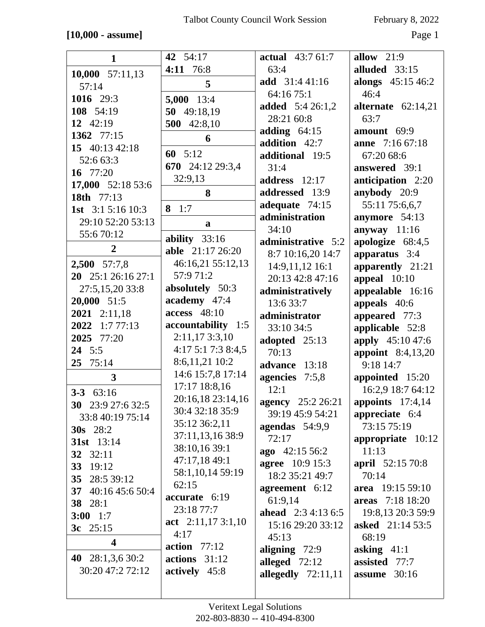### **[10,000 - assume]** Page 1

| $\mathbf{1}$             | 42 54:17            | <b>actual</b> 43:7 61:7   | allow $21:9$             |
|--------------------------|---------------------|---------------------------|--------------------------|
| 10,000 $57:11,13$        | 4:11 76:8           | 63:4                      | alluded 33:15            |
|                          | 5                   | add 31:441:16             | alongs 45:15 46:2        |
| 57:14                    |                     | 64:16 75:1                | 46:4                     |
| 1016 29:3                | $5,000$ 13:4        | <b>added</b> 5:4 26:1,2   | alternate $62:14,21$     |
| 108 54:19                | 50 49:18,19         | 28:21 60:8                | 63:7                     |
| 12 42:19                 | 500<br>42:8,10      | adding $64:15$            | amount 69:9              |
| 1362 77:15               | 6                   | addition 42:7             | <b>anne</b> 7:16 67:18   |
| 15 40:13 42:18           | 60 $5:12$           |                           |                          |
| 52:6 63:3                | 670 24:12 29:3,4    | additional 19:5           | 67:20 68:6               |
| 16 77:20                 |                     | 31:4                      | answered 39:1            |
| 17,000 52:18 53:6        | 32:9,13             | address 12:17             | anticipation 2:20        |
| 18th 77:13               | 8                   | addressed 13:9            | anybody 20:9             |
| 1st $3:15:1610:3$        | 8 $1:7$             | adequate $74:15$          | 55:11 75:6,6,7           |
| 29:10 52:20 53:13        | a                   | administration            | anymore 54:13            |
| 55:670:12                |                     | 34:10                     | anyway $11:16$           |
| $\overline{2}$           | ability $33:16$     | administrative 5:2        | apologize 68:4,5         |
|                          | able 21:17 26:20    | 8:7 10:16,20 14:7         | apparatus 3:4            |
| 2,500 57:7,8             | 46:16,21 55:12,13   | 14:9,11,12 16:1           | apparently 21:21         |
| 20 25:1 26:16 27:1       | 57:971:2            | 20:13 42:8 47:16          | appeal $10:10$           |
| 27:5,15,20 33:8          | absolutely 50:3     | administratively          | appealable 16:16         |
| $20,000$ 51:5            | academy 47:4        | 13:6 33:7                 | appeals 40:6             |
| 2021 2:11,18             | $access$ 48:10      | administrator             | appeared 77:3            |
| 2022 1:7 77:13           | accountability 1:5  | 33:10 34:5                | applicable 52:8          |
| 2025 77:20               | 2:11,173:3,10       | adopted 25:13             | apply 45:10 47:6         |
| 24 5:5                   | 4:17 5:1 7:3 8:4,5  | 70:13                     | <b>appoint</b> 8:4,13,20 |
| $25 \t 75:14$            | 8:6,11,21 10:2      | advance 13:18             | 9:18 14:7                |
| $\overline{\mathbf{3}}$  | 14:6 15:7,8 17:14   | agencies 7:5,8            | appointed 15:20          |
| $3 - 3$ $63:16$          | 17:17 18:8,16       | 12:1                      | 16:2,9 18:7 64:12        |
|                          | 20:16,18 23:14,16   | <b>agency</b> 25:2 26:21  | appoints $17:4,14$       |
| <b>30</b> 23:9 27:6 32:5 | 30:4 32:18 35:9     | 39:19 45:9 54:21          | appreciate 6:4           |
| 33:8 40:19 75:14         | 35:12 36:2,11       | agendas $54:9.9$          | 73:15 75:19              |
| <b>30s</b> 28:2          | 37:11,13,16 38:9    | 72:17                     | appropriate $10:12$      |
| 31st 13:14               | 38:10,16 39:1       | $ago$ 42:15 56:2          | 11:13                    |
| 32 32:11                 | 47:17,18 49:1       | <b>agree</b> 10:9 15:3    | <b>april</b> 52:15 70:8  |
| 33 19:12                 | 58:1,10,14 59:19    | 18:2 35:21 49:7           | 70:14                    |
| 35 28:5 39:12            | 62:15               | agreement 6:12            | area 19:15 59:10         |
| 37 40:16 45:6 50:4       | accurate 6:19       | 61:9,14                   | areas 7:18 18:20         |
| 38 28:1                  | 23:18 77:7          | <b>ahead</b> $2:34:136:5$ | 19:8,13 20:3 59:9        |
| $3:00$ 1:7               | act $2:11,173:1,10$ |                           |                          |
| 3c $25:15$               | 4:17                | 15:16 29:20 33:12         | <b>asked</b> 21:14 53:5  |
| $\overline{\mathbf{4}}$  | action $77:12$      | 45:13                     | 68:19                    |
| 40 $28:1,3,630:2$        | $actions$ 31:12     | aligning 72:9             | asking $41:1$            |
| 30:20 47:2 72:12         | actively 45:8       | alleged $72:12$           | assisted 77:7            |
|                          |                     | allegedly $72:11,11$      | assume $30:16$           |
|                          |                     |                           |                          |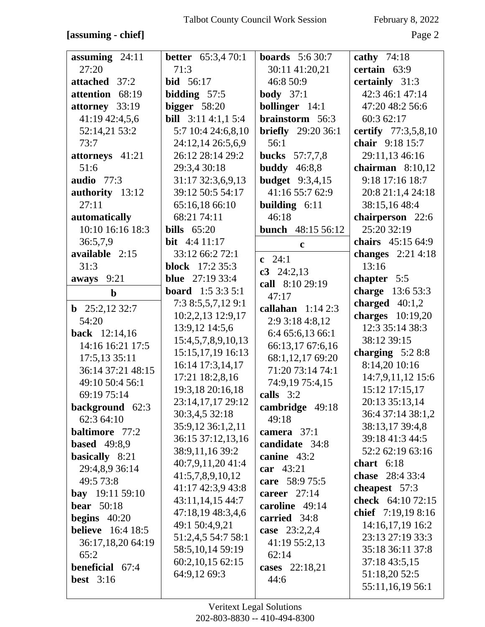### **[assuming - chief]** Page 2

| assuming $24:11$                      | <b>better</b> 65:3,4 70:1  | <b>boards</b> $5:630:7$              | cathy $74:18$       |
|---------------------------------------|----------------------------|--------------------------------------|---------------------|
| 27:20                                 | 71:3                       | 30:11 41:20,21                       | certain 63:9        |
| attached 37:2                         | <b>bid</b> 56:17           | 46:8 50:9                            | certainly 31:3      |
| attention 68:19                       | bidding $57:5$             | <b>body</b> $37:1$                   | 42:3 46:1 47:14     |
| attorney 33:19                        | bigger $58:20$             | <b>bollinger</b> 14:1                | 47:20 48:2 56:6     |
| 41:19 42:4,5,6                        | <b>bill</b> $3:114:1,15:4$ | brainstorm 56:3                      | 60:3 62:17          |
| 52:14,21 53:2                         | 5:7 10:4 24:6,8,10         | <b>briefly</b> 29:20 36:1            | certify 77:3,5,8,10 |
| 73:7                                  | 24:12,14 26:5,6,9          | 56:1                                 | chair 9:18 15:7     |
| attorneys 41:21                       | 26:12 28:14 29:2           | <b>bucks</b> 57:7,7,8                | 29:11,13 46:16      |
| 51:6                                  | 29:3,4 30:18               | <b>buddy</b> 46:8,8                  | chairman $8:10,12$  |
| audio $77:3$                          | 31:17 32:3,6,9,13          | <b>budget</b> 9:3,4,15               | 9:18 17:16 18:7     |
| authority 13:12                       | 39:12 50:5 54:17           | 41:16 55:7 62:9                      | 20:8 21:1,4 24:18   |
| 27:11                                 | 65:16,18 66:10             | <b>building</b> $6:11$               | 38:15,16 48:4       |
| automatically                         | 68:21 74:11                | 46:18                                | chairperson 22:6    |
| 10:10 16:16 18:3                      | bills $65:20$              | <b>bunch</b> 48:15 56:12             | 25:20 32:19         |
| 36:5,7,9                              | bit $4:411:17$             | $\mathbf c$                          | chairs 45:15 64:9   |
| available 2:15                        | 33:12 66:2 72:1            | c $24:1$                             | changes $2:214:18$  |
| 31:3                                  | <b>block</b> 17:2 35:3     | c3 $24:2,13$                         | 13:16               |
| aways 9:21                            | <b>blue</b> $27:1933:4$    | call 8:10 29:19                      | chapter 5:5         |
| $\mathbf b$                           | <b>board</b> $1:53:35:1$   | 47:17                                | charge 13:6 53:3    |
|                                       | 7:3 8:5,5,7,12 9:1         | callahan $1:142:3$                   | charged $40:1,2$    |
| <b>b</b> $25:2,12\,32:7$              | 10:2,2,13 12:9,17          |                                      | charges 10:19,20    |
| 54:20<br><b>back</b> 12:14,16         | 13:9,12 14:5,6             | 2:9 3:18 4:8,12<br>6:4 65:6,13 66:1  | 12:3 35:14 38:3     |
| 14:16 16:21 17:5                      | 15:4,5,7,8,9,10,13         |                                      | 38:12 39:15         |
| 17:5,13 35:11                         | 15:15,17,19 16:13          | 66:13,17 67:6,16<br>68:1,12,17 69:20 | charging $5:28:8$   |
| 36:14 37:21 48:15                     | 16:14 17:3,14,17           | 71:20 73:14 74:1                     | 8:14,20 10:16       |
| 49:10 50:4 56:1                       | 17:21 18:2,8,16            |                                      | 14:7,9,11,12 15:6   |
|                                       | 19:3,18 20:16,18           | 74:9,19 75:4,15                      | 15:12 17:15,17      |
| 69:19 75:14                           | 23:14,17,17 29:12          | calls 3:2                            | 20:13 35:13,14      |
| background 62:3<br>62:3 64:10         | 30:3,4,5 32:18             | cambridge 49:18                      | 36:4 37:14 38:1,2   |
| <b>baltimore</b> 77:2                 | 35:9,12 36:1,2,11          | 49:18                                | 38:13,17 39:4,8     |
|                                       | 36:15 37:12,13,16          | camera $37:1$                        | 39:18 41:3 44:5     |
| <b>based</b> 49:8,9                   | 38:9,11,16 39:2            | candidate 34:8                       | 52:2 62:19 63:16    |
| basically 8:21                        | 40:7,9,11,20 41:4          | canine 43:2                          | chart $6:18$        |
| 29:4,8,9 36:14<br>49:5 73:8           | 41:5,7,8,9,10,12           | car 43:21                            | chase 28:4 33:4     |
|                                       | 41:17 42:3,9 43:8          | care 58:9 75:5                       | cheapest 57:3       |
| bay $19:1159:10$<br><b>bear</b> 50:18 | 43:11,14,15 44:7           | career $27:14$                       | check 64:10 72:15   |
|                                       | 47:18,19 48:3,4,6          | caroline 49:14<br>carried 34:8       | chief 7:19,19 8:16  |
| begins $40:20$                        | 49:1 50:4,9,21             |                                      | 14:16,17,19 16:2    |
| <b>believe</b> 16:4 18:5              | 51:2,4,5 54:7 58:1         | case 23:2,2,4                        | 23:13 27:19 33:3    |
| 36:17,18,20 64:19                     | 58:5,10,14 59:19           | 41:19 55:2,13                        | 35:18 36:11 37:8    |
| 65:2<br>beneficial 67:4               | 60:2,10,15 62:15           | 62:14                                | 37:18 43:5,15       |
|                                       | 64:9,12 69:3               | cases $22:18,21$                     | 51:18,20 52:5       |
| <b>best</b> $3:16$                    |                            | 44:6                                 | 55:11,16,19 56:1    |
|                                       |                            |                                      |                     |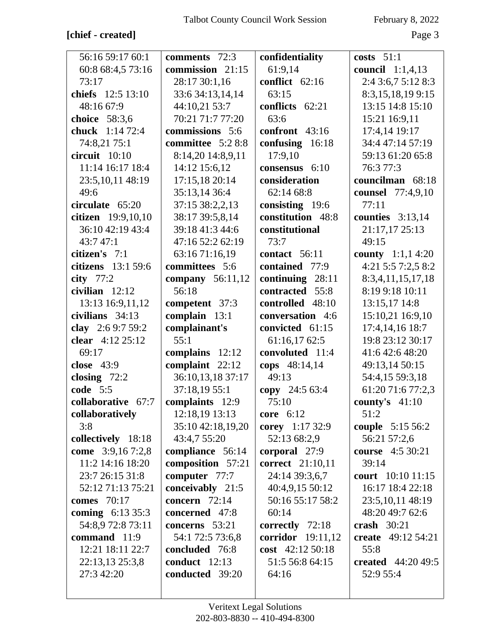# **[chief - created]** Page 3

| 56:16 59:17 60:1         | comments 72:3      | confidentiality         | costs $51:1$              |
|--------------------------|--------------------|-------------------------|---------------------------|
| 60:8 68:4,5 73:16        | commission 21:15   | 61:9,14                 | council $1:1,4,13$        |
| 73:17                    | 28:17 30:1,16      | conflict 62:16          | 2:4 3:6,7 5:12 8:3        |
| chiefs 12:5 13:10        | 33:6 34:13,14,14   | 63:15                   | 8:3,15,18,199:15          |
| 48:16 67:9               | 44:10,21 53:7      | conflicts 62:21         | 13:15 14:8 15:10          |
| choice 58:3,6            | 70:21 71:7 77:20   | 63:6                    | 15:21 16:9,11             |
| <b>chuck</b> 1:14 72:4   | commissions 5:6    | confront 43:16          | 17:4,14 19:17             |
| 74:8,21 75:1             | committee 5:2 8:8  | confusing $16:18$       | 34:4 47:14 57:19          |
| circuit 10:10            | 8:14,20 14:8,9,11  | 17:9,10                 | 59:13 61:20 65:8          |
| 11:14 16:17 18:4         | 14:12 15:6,12      | consensus 6:10          | 76:3 77:3                 |
| 23:5, 10, 11 48:19       | 17:15,18 20:14     | consideration           | councilman 68:18          |
| 49:6                     | 35:13,14 36:4      | 62:14 68:8              | counsel 77:4,9,10         |
| circulate 65:20          | 37:15 38:2,2,13    | consisting 19:6         | 77:11                     |
| citizen 19:9,10,10       | 38:17 39:5,8,14    | constitution 48:8       | counties $3:13,14$        |
| 36:10 42:19 43:4         | 39:18 41:3 44:6    | constitutional          | 21:17,17 25:13            |
| 43:7 47:1                | 47:16 52:2 62:19   | 73:7                    | 49:15                     |
| citizen's 7:1            | 63:16 71:16,19     | contact 56:11           | <b>county</b> $1:1,14:20$ |
| citizens 13:1 59:6       | committees 5:6     | contained 77:9          | 4:21 5:5 7:2.5 8:2        |
| city $77:2$              | company $56:11,12$ | continuing 28:11        | 8:3,4,11,15,17,18         |
| civilian $12:12$         | 56:18              | contracted 55:8         | 8:19 9:18 10:11           |
| 13:13 16:9,11,12         | competent 37:3     | controlled 48:10        | 13:15,17 14:8             |
| civilians 34:13          | complain 13:1      | conversation 4:6        | 15:10,21 16:9,10          |
| clay 2:6 9:7 59:2        | complainant's      | convicted 61:15         | 17:4,14,16 18:7           |
| clear 4:12 25:12         | 55:1               | 61:16,17 62:5           | 19:8 23:12 30:17          |
| 69:17                    | complains 12:12    | convoluted 11:4         | 41:6 42:6 48:20           |
| close 43:9               | complaint 22:12    | cops 48:14,14           | 49:13,14 50:15            |
| closing $72:2$           | 36:10,13,18 37:17  | 49:13                   | 54:4,15 59:3,18           |
| code 5:5                 | 37:18,19 55:1      | copy 24:5 63:4          | 61:20 71:6 77:2,3         |
| collaborative 67:7       | complaints 12:9    | 75:10                   | county's $41:10$          |
| collaboratively          | 12:18,19 13:13     | core $6:12$             | 51:2                      |
| 3:8                      | 35:10 42:18,19,20  | corey 1:17 32:9         | couple 5:15 56:2          |
| collectively 18:18       | 43:4,7 55:20       | 52:13 68:2,9            | 56:21 57:2,6              |
| come 3:9,167:2,8         | compliance 56:14   | corporal 27:9           | course 4:5 30:21          |
| 11:2 14:16 18:20         | composition 57:21  | <b>correct</b> 21:10,11 | 39:14                     |
| 23:7 26:15 31:8          | computer 77:7      | 24:14 39:3,6,7          | court 10:10 11:15         |
| 52:12 71:13 75:21        | conceivably 21:5   | 40:4,9,15 50:12         | 16:17 18:4 22:18          |
| comes 70:17              | concern $72:14$    | 50:16 55:17 58:2        | 23:5, 10, 11 48:19        |
| <b>coming</b> $6:1335:3$ | concerned 47:8     | 60:14                   | 48:20 49:7 62:6           |
| 54:8,9 72:8 73:11        | concerns 53:21     | correctly 72:18         | crash $30:21$             |
| command 11:9             | 54:1 72:5 73:6,8   | corridor 19:11,12       | create 49:12 54:21        |
| 12:21 18:11 22:7         | concluded 76:8     | cost 42:12 50:18        | 55:8                      |
| 22:13,13 25:3,8          | conduct $12:13$    | 51:5 56:8 64:15         | <b>created</b> 44:20 49:5 |
| 27:3 42:20               | conducted 39:20    | 64:16                   | 52:9 55:4                 |
|                          |                    |                         |                           |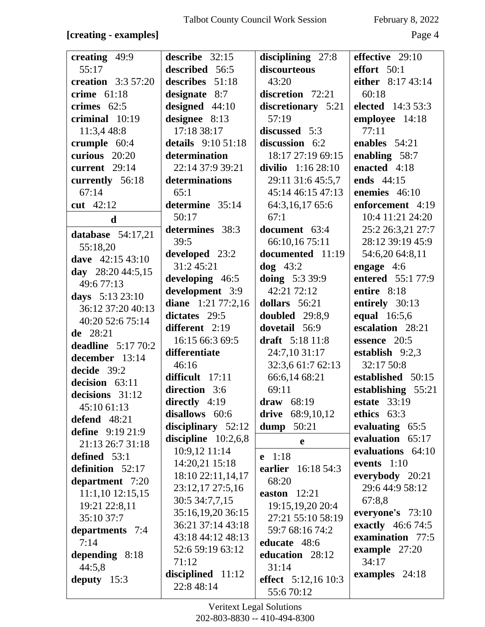### **[creating - examples]** Page 4

| creating 49:9             | describe 32:15                    | disciplining 27:8          | effective $29:10$   |
|---------------------------|-----------------------------------|----------------------------|---------------------|
| 55:17                     | described 56:5                    | discourteous               | effort $50:1$       |
| <b>creation</b> 3:3 57:20 | describes 51:18                   | 43:20                      | either 8:17 43:14   |
| crime $61:18$             | designate 8:7                     | discretion 72:21           | 60:18               |
| crimes $62:5$             | designed 44:10                    | discretionary 5:21         | elected 14:3 53:3   |
| criminal $10:19$          | designee 8:13                     | 57:19                      | employee 14:18      |
| 11:3,4 48:8               | 17:18 38:17                       | discussed 5:3              | 77:11               |
| crumple 60:4              | details 9:10 51:18                | discussion 6:2             | enables $54:21$     |
| curious 20:20             | determination                     | 18:17 27:19 69:15          | enabling 58:7       |
| current 29:14             | 22:14 37:9 39:21                  | divilio $1:16\,28:10$      | enacted 4:18        |
| currently 56:18           | determinations                    | 29:11 31:6 45:5,7          | ends 44:15          |
| 67:14                     | 65:1                              | 45:14 46:15 47:13          | enemies 46:10       |
|                           | determine 35:14                   |                            |                     |
| cut $42:12$               |                                   | 64:3,16,17 65:6            | enforcement 4:19    |
| $\mathbf d$               | 50:17                             | 67:1                       | 10:4 11:21 24:20    |
| database $54:17,21$       | determines 38:3                   | document 63:4              | 25:2 26:3,21 27:7   |
| 55:18,20                  | 39:5                              | 66:10,16 75:11             | 28:12 39:19 45:9    |
| dave 42:15 43:10          | developed 23:2                    | documented 11:19           | 54:6,20 64:8,11     |
| day 28:20 44:5,15         | 31:2 45:21                        | $\log$ 43:2                | engage $4:6$        |
| 49:6 77:13                | developing 46:5                   | doing $5:339:9$            | entered 55:1 77:9   |
| days 5:13 23:10           | development 3:9                   | 42:21 72:12                | entire 8:18         |
| 36:12 37:20 40:13         | diane 1:21 77:2,16                | dollars 56:21              | entirely 30:13      |
| 40:20 52:6 75:14          | dictates 29:5                     | doubled 29:8,9             | equal 16:5,6        |
|                           | different 2:19                    | dovetail 56:9              | escalation 28:21    |
| de 28:21                  | 16:15 66:3 69:5                   | draft 5:18 11:8            | essence 20:5        |
| deadline $5:1770:2$       | differentiate                     | 24:7,10 31:17              | establish $9:2,3$   |
| december 13:14            | 46:16                             | 32:3,6 61:7 62:13          | 32:17 50:8          |
| decide 39:2               | difficult 17:11                   | 66:6,14 68:21              | established 50:15   |
| decision 63:11            | direction 3:6                     | 69:11                      | establishing 55:21  |
| decisions 31:12           |                                   | draw $68:19$               | <b>estate</b> 33:19 |
| 45:10 61:13               | directly $4:19$<br>disallows 60:6 |                            | ethics 63:3         |
| defend 48:21              |                                   | 68:9,10,12<br>drive        |                     |
| define $9:1921:9$         | disciplinary $52:12$              | dump 50:21                 | evaluating 65:5     |
| 21:13 26:7 31:18          | discipline $10:2,6,8$             | $\mathbf e$                | evaluation 65:17    |
| defined 53:1              | 10:9,12 11:14                     | $e$ 1:18                   | evaluations 64:10   |
| definition 52:17          | 14:20,21 15:18                    | earlier<br>16:18 54:3      | events $1:10$       |
| department 7:20           | 18:10 22:11,14,17                 | 68:20                      | everybody 20:21     |
| $11:1,10$ $12:15,15$      | 23:12,17 27:5,16                  | easton $12:21$             | 29:6 44:9 58:12     |
| 19:21 22:8,11             | 30:5 34:7,7,15                    | 19:15, 19, 20 20:4         | 67:8,8              |
| 35:10 37:7                | 35:16,19,20 36:15                 | 27:21 55:10 58:19          | everyone's 73:10    |
|                           | 36:21 37:14 43:18                 | 59:7 68:16 74:2            | exactly 46:6 74:5   |
| departments 7:4           | 43:18 44:12 48:13                 |                            | examination 77:5    |
| 7:14                      | 52:6 59:19 63:12                  | educate 48:6               | example $27:20$     |
| depending 8:18            | 71:12                             | education 28:12            | 34:17               |
| 44:5,8                    | disciplined 11:12                 | 31:14                      | examples 24:18      |
| deputy $15:3$             | 22:8 48:14                        | <b>effect</b> 5:12,16 10:3 |                     |
|                           |                                   | 55:670:12                  |                     |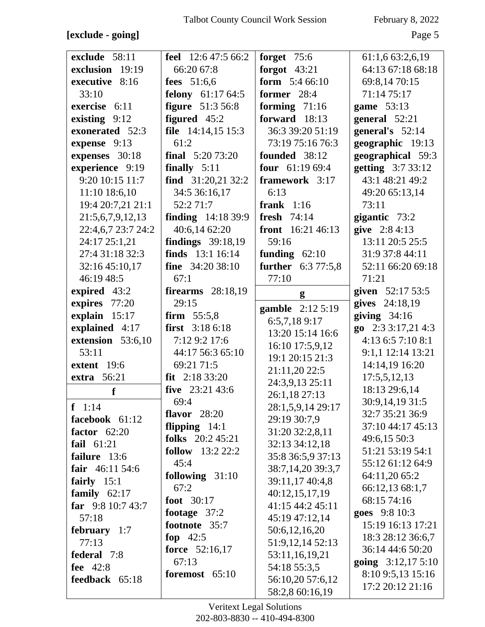**[exclude - going]** Page 5

| exclude 58:11      | <b>feel</b> $12:647:566:2$ | forget $75:6$               | 61:1,6 63:2,6,19                      |
|--------------------|----------------------------|-----------------------------|---------------------------------------|
| exclusion 19:19    | 66:20 67:8                 | forgot $43:21$              | 64:13 67:18 68:18                     |
| executive 8:16     | <b>fees</b> 51:6,6         | form $5:466:10$             | 69:8,14 70:15                         |
| 33:10              | <b>felony</b> 61:17 64:5   | former 28:4                 | 71:14 75:17                           |
| exercise 6:11      | <b>figure</b> 51:3 56:8    | forming $71:16$             | game 53:13                            |
| existing 9:12      | figured 45:2               | forward 18:13               | general 52:21                         |
| exonerated 52:3    | file $14:14,15$ 15:3       | 36:3 39:20 51:19            | general's $52:14$                     |
| expense 9:13       | 61:2                       | 73:19 75:16 76:3            | geographic 19:13                      |
| expenses 30:18     | <b>final</b> $5:2073:20$   | founded 38:12               | geographical 59:3                     |
| experience 9:19    | finally $5:11$             | four $61:1969:4$            | getting 3:7 33:12                     |
| 9:20 10:15 11:7    | find $31:20,2132:2$        | framework 3:17              | 43:1 48:21 49:2                       |
| 11:10 18:6,10      | 34:5 36:16,17              | 6:13                        | 49:20 65:13,14                        |
| 19:4 20:7,21 21:1  | 52:2 71:7                  | frank $1:16$                | 73:11                                 |
| 21:5,6,7,9,12,13   | <b>finding</b> 14:18 39:9  | fresh $74:14$               | gigantic 73:2                         |
| 22:4,6,7 23:7 24:2 | 40:6,14 62:20              | <b>front</b> $16:21\,46:13$ | give 2:8 4:13                         |
| 24:17 25:1,21      | findings $39:18,19$        | 59:16                       | 13:11 20:5 25:5                       |
| 27:4 31:18 32:3    | <b>finds</b> 13:1 16:14    | funding $62:10$             | 31:9 37:8 44:11                       |
| 32:16 45:10,17     | <b>fine</b> $34:2038:10$   | <b>further</b> 6:3 77:5,8   | 52:11 66:20 69:18                     |
| 46:19 48:5         | 67:1                       | 77:10                       | 71:21                                 |
| expired 43:2       | <b>firearms</b> 28:18,19   |                             | given 52:17 53:5                      |
| expires 77:20      | 29:15                      | g                           | gives 24:18,19                        |
| explain 15:17      | firm $55:5,8$              | gamble 2:12 5:19            | giving $34:16$                        |
|                    | first $3:186:18$           | 6:5,7,189:17                | go $2:33:17,214:3$                    |
| explained 4:17     |                            | 13:20 15:14 16:6            | 4:13 6:5 7:10 8:1                     |
| extension 53:6,10  | 7:12 9:2 17:6              | 16:10 17:5,9,12             |                                       |
| 53:11              | 44:17 56:3 65:10           | 19:1 20:15 21:3             | 9:1,1 12:14 13:21                     |
| extent 19:6        | 69:21 71:5                 | 21:11,20 22:5               | 14:14,19 16:20                        |
| <b>extra</b> 56:21 | $fit$ 2:18 33:20           | 24:3,9,13 25:11             | 17:5,5,12,13                          |
| f                  | five $23:21\,43:6$         | 26:1,18 27:13               | 18:13 29:6,14                         |
| $f \ 1:14$         | 69:4                       | 28:1,5,9,14 29:17           | 30:9,14,19 31:5                       |
| facebook 61:12     | flavor $28:20$             | 29:19 30:7,9                | 32:7 35:21 36:9                       |
| factor $62:20$     | flipping $14:1$            | 31:20 32:2,8,11             | 37:10 44:17 45:13                     |
| fail $61:21$       | folks $20:245:21$          | 32:13 34:12,18              | 49:6,15 50:3                          |
| failure 13:6       | <b>follow</b> $13:22:22:2$ | 35:8 36:5,9 37:13           | 51:21 53:19 54:1                      |
| fair $46:11\,54:6$ | 45:4                       | 38:7,14,20 39:3,7           | 55:12 61:12 64:9                      |
| fairly $15:1$      | following $31:10$          | 39:11,17 40:4,8             | 64:11,20 65:2                         |
| family $62:17$     | 67:2                       | 40:12,15,17,19              | 66:12,13 68:1,7                       |
| far $9:810:743:7$  | foot 30:17                 | 41:15 44:2 45:11            | 68:15 74:16                           |
| 57:18              | footage 37:2               | 45:19 47:12,14              | goes 9:8 10:3                         |
| february $1:7$     | footnote 35:7              | 50:6,12,16,20               | 15:19 16:13 17:21                     |
| 77:13              | fop $42:5$                 | 51:9,12,14 52:13            | 18:3 28:12 36:6,7                     |
|                    |                            |                             |                                       |
| federal 7:8        | <b>force</b> 52:16,17      | 53:11,16,19,21              | 36:14 44:6 50:20                      |
| fee 42:8           | 67:13                      | 54:18 55:3,5                | going $3:12,175:10$                   |
| feedback 65:18     | foremost 65:10             | 56:10,20 57:6,12            | 8:10 9:5,13 15:16<br>17:2 20:12 21:16 |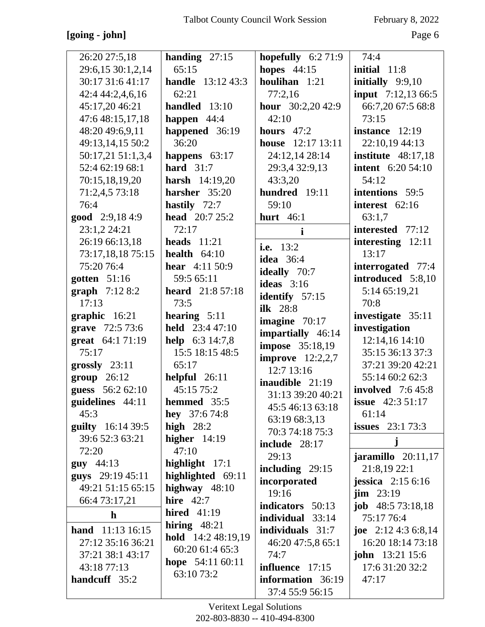### **[going - john]** Page 6

| 26:20 27:5,18             | handing $27:15$           | hopefully $6:271:9$                  | 74:4                       |
|---------------------------|---------------------------|--------------------------------------|----------------------------|
| 29:6,15 30:1,2,14         | 65:15                     | hopes $44:15$                        | initial $11:8$             |
| 30:17 31:6 41:17          | <b>handle</b> 13:12 43:3  | houlihan 1:21                        | initially $9:9,10$         |
| 42:4 44:2,4,6,16          | 62:21                     | 77:2,16                              | <b>input</b> 7:12,13 66:5  |
| 45:17,20 46:21            | handled 13:10             | hour $30:2,2042:9$                   | 66:7,20 67:5 68:8          |
| 47:6 48:15,17,18          | happen $44:4$             | 42:10                                | 73:15                      |
| 48:20 49:6,9,11           | happened 36:19            | hours $47:2$                         | instance $12:19$           |
| 49:13,14,15 50:2          | 36:20                     | 12:17 13:11<br>house                 | 22:10,19 44:13             |
| 50:17,21 51:1,3,4         | happens $63:17$           | 24:12,14 28:14                       | institute $48:17,18$       |
| 52:4 62:19 68:1           | hard $31:7$               | 29:3,4 32:9,13                       | <b>intent</b> 6:20 54:10   |
| 70:15,18,19,20            | <b>harsh</b> $14:19,20$   | 43:3,20                              | 54:12                      |
| 71:2,4,5 73:18            | harsher 35:20             | hundred 19:11                        | intentions 59:5            |
| 76:4                      | hastily 72:7              | 59:10                                | interest $62:16$           |
| good 2:9,184:9            | <b>head</b> $20:725:2$    | hurt $46:1$                          | 63:1,7                     |
| 23:1,2 24:21              | 72:17                     | $\mathbf i$                          | interested 77:12           |
| 26:19 66:13,18            | heads $11:21$             | i.e. $13:2$                          | interesting $12:11$        |
| 73:17,18,18 75:15         | health $64:10$            | <b>idea</b> 36:4                     | 13:17                      |
| 75:20 76:4                | <b>hear</b> $4:11\,50:9$  | <b>ideally</b> 70:7                  | interrogated 77:4          |
| gotten $51:16$            | 59:5 65:11                | ideas $3:16$                         | introduced 5:8,10          |
| <b>graph</b> $7:128:2$    | <b>heard</b> 21:8 57:18   |                                      | 5:14 65:19,21              |
| 17:13                     | 73:5                      | identify $57:15$<br><b>ilk</b> 28:8  | 70:8                       |
| graphic 16:21             | hearing $5:11$            |                                      | investigate 35:11          |
| grave 72:5 73:6           | <b>held</b> $23:447:10$   | imagine $70:17$<br>impartially 46:14 | investigation              |
| great 64:1 71:19          | <b>help</b> $6:3\,14:7,8$ | <b>impose</b> 35:18,19               | 12:14,16 14:10             |
| 75:17                     | 15:5 18:15 48:5           | improve $12:2,2,7$                   | 35:15 36:13 37:3           |
| $grossly$ 23:11           | 65:17                     | 12:7 13:16                           | 37:21 39:20 42:21          |
| group 26:12               | helpful $26:11$           | inaudible 21:19                      | 55:14 60:2 62:3            |
| guess 56:2 62:10          | 45:15 75:2                | 31:13 39:20 40:21                    | <b>involved</b> 7:6 45:8   |
| guidelines 44:11          | hemmed 35:5               | 45:5 46:13 63:18                     | <b>issue</b> $42:351:17$   |
| 45:3                      | hey $37:674:8$            | 63:19 68:3,13                        | 61:14                      |
| <b>guilty</b> 16:14 39:5  | high $28:2$               | 70:3 74:18 75:3                      | <b>issues</b> $23:173:3$   |
| 39:6 52:3 63:21           | higher $14:19$            | include $28:17$                      | j                          |
| 72:20                     | 47:10                     | 29:13                                | j <b>aramillo</b> 20:11,17 |
| $guy$ 44:13               | highlight $17:1$          | including $29:15$                    | 21:8,19 22:1               |
| guys 29:19 45:11          | highlighted 69:11         | incorporated                         | jessica $2:156:16$         |
| 49:21 51:15 65:15         | highway $48:10$           | 19:16                                | $\lim_{23:19}$             |
| 66:4 73:17,21             | hire $42:7$               | indicators 50:13                     | <b>job</b> $48:573:18,18$  |
| $\mathbf{h}$              | hired $41:19$             | individual 33:14                     | 75:17 76:4                 |
| <b>hand</b> $11:13$ 16:15 | hiring $48:21$            | individuals 31:7                     | joe $2:12\,4:3\,6:8,14$    |
| 27:12 35:16 36:21         | <b>hold</b> 14:2 48:19,19 | 46:20 47:5,8 65:1                    | 16:20 18:14 73:18          |
| 37:21 38:1 43:17          | 60:20 61:4 65:3           | 74:7                                 | <b>john</b> 13:21 15:6     |
| 43:18 77:13               | hope $54:1160:11$         | influence $17:15$                    | 17:6 31:20 32:2            |
| handcuff 35:2             | 63:10 73:2                | information 36:19                    | 47:17                      |
|                           |                           | 37:4 55:9 56:15                      |                            |
|                           |                           |                                      |                            |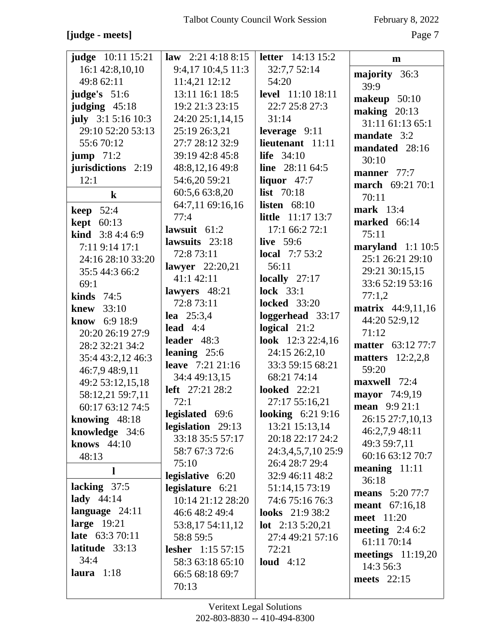# **[judge - meets]** Page 7

| <b>judge</b> 10:11 15:21                | law $2:21\ 4:18\ 8:15$   | <b>letter</b> 14:13 15:2 | $\mathbf{m}$             |
|-----------------------------------------|--------------------------|--------------------------|--------------------------|
| 16:1 42:8,10,10                         | 9:4,17 10:4,5 11:3       | 32:7,7 52:14             | majority 36:3            |
| 49:8 62:11                              | 11:4,21 12:12            | 54:20                    | 39:9                     |
| judge's 51:6                            | 13:11 16:1 18:5          | <b>level</b> 11:10 18:11 | makeup 50:10             |
| judging $45:18$                         | 19:2 21:3 23:15          | 22:7 25:8 27:3           | making $20:13$           |
| july $3:15:1610:3$                      | 24:20 25:1,14,15         | 31:14                    | 31:11 61:13 65:1         |
| 29:10 52:20 53:13                       | 25:19 26:3,21            | leverage $9:11$          | mandate 3:2              |
| 55:670:12                               | 27:7 28:12 32:9          | lieutenant 11:11         | mandated 28:16           |
| <b>jump</b> $71:2$                      | 39:19 42:8 45:8          | life $34:10$             | 30:10                    |
| jurisdictions 2:19                      | 48:8,12,16 49:8          | line $28:1164:5$         | manner 77:7              |
| 12:1                                    | 54:6,20 59:21            | liquor $47:7$            | <b>march</b> 69:21 70:1  |
| $\bf k$                                 | 60:5,6 63:8,20           | <b>list</b> 70:18        | 70:11                    |
|                                         | 64:7,11 69:16,16         | listen $68:10$           | <b>mark</b> 13:4         |
| <b>keep</b> $52:4$<br><b>kept</b> 60:13 | 77:4                     | <b>little</b> 11:17 13:7 | <b>marked</b> 66:14      |
| <b>kind</b> $3:84:46:9$                 | lawsuit $61:2$           | 17:166:272:1             | 75:11                    |
| 7:11 9:14 17:1                          | lawsuits 23:18           | <b>live</b> 59:6         | maryland $1:1 10:5$      |
| 24:16 28:10 33:20                       | 72:8 73:11               | <b>local</b> $7:7 53:2$  | 25:1 26:21 29:10         |
| 35:5 44:3 66:2                          | lawyer 22:20,21          | 56:11                    | 29:21 30:15,15           |
| 69:1                                    | 41:1 42:11               | locally $27:17$          | 33:6 52:19 53:16         |
| kinds $74:5$                            | lawyers $48:21$          | <b>lock</b> 33:1         | 77:1,2                   |
| knew $33:10$                            | 72:8 73:11               | <b>locked</b> 33:20      | matrix 44:9,11,16        |
| know 6:9 18:9                           | <b>lea</b> $25:3,4$      | loggerhead 33:17         | 44:20 52:9,12            |
| 20:20 26:19 27:9                        | lead $4:4$               | logical $21:2$           | 71:12                    |
| 28:2 32:21 34:2                         | leader 48:3              | look 12:3 22:4,16        | <b>matter</b> 63:12 77:7 |
| 35:4 43:2,12 46:3                       | leaning $25:6$           | 24:15 26:2,10            | matters $12:2,2,8$       |
| 46:7,9 48:9,11                          | <b>leave</b> 7:21 21:16  | 33:3 59:15 68:21         | 59:20                    |
| 49:2 53:12,15,18                        | 34:4 49:13,15            | 68:21 74:14              | maxwell 72:4             |
| 58:12,21 59:7,11                        | left 27:21 28:2          | <b>looked</b> 22:21      | mayor 74:9,19            |
| 60:17 63:12 74:5                        | 72:1                     | 27:17 55:16,21           | mean 9:9 21:1            |
| knowing $48:18$                         | legislated 69:6          | <b>looking</b> 6:21 9:16 | 26:15 27:7,10,13         |
| knowledge 34:6                          | legislation 29:13        | 13:21 15:13,14           | 46:2,7,9 48:11           |
| knows $44:10$                           | 33:18 35:5 57:17         | 20:18 22:17 24:2         | 49:3 59:7,11             |
| 48:13                                   | 58:7 67:3 72:6           | 24:3,4,5,7,10 25:9       | 60:16 63:12 70:7         |
|                                         | 75:10                    | 26:4 28:7 29:4           | meaning $11:11$          |
| $\mathbf{l}$                            | legislative 6:20         | 32:9 46:11 48:2          | 36:18                    |
| lacking 37:5                            | legislature 6:21         | 51:14,15 73:19           | <b>means</b> 5:20 77:7   |
| lady $44:14$                            | 10:14 21:12 28:20        | 74:6 75:16 76:3          | <b>meant</b> 67:16,18    |
| language 24:11                          | 46:6 48:2 49:4           | <b>looks</b> 21:9 38:2   | meet 11:20               |
| large $19:21$                           | 53:8,17 54:11,12         | <b>lot</b> $2:135:20,21$ | meeting $2:46:2$         |
| <b>late</b> 63:3 70:11                  | 58:8 59:5                | 27:4 49:21 57:16         | 61:11 70:14              |
| latitude 33:13                          | <b>lesher</b> 1:15 57:15 | 72:21                    | meetings $11:19,20$      |
| 34:4                                    | 58:3 63:18 65:10         | loud $4:12$              | 14:3 56:3                |
| laura $1:18$                            | 66:5 68:18 69:7          |                          | meets 22:15              |
|                                         | 70:13                    |                          |                          |
|                                         |                          |                          |                          |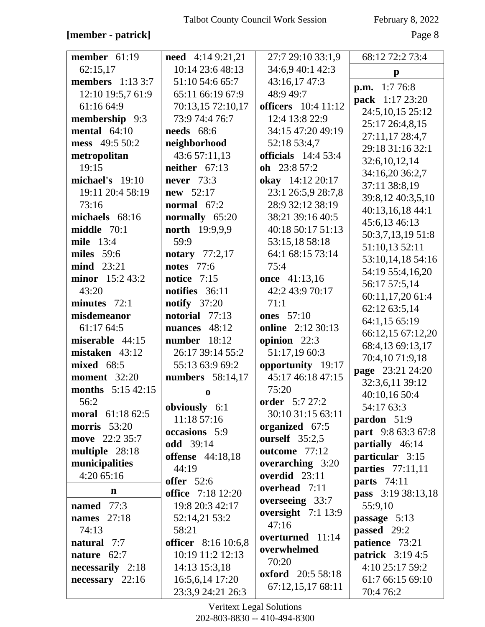### **[member - patrick]** Page 8

| member $61:19$          | <b>need</b> $4:149:21,21$                      | 27:7 29:10 33:1,9        | 68:12 72:2 73:4                            |
|-------------------------|------------------------------------------------|--------------------------|--------------------------------------------|
| 62:15,17                | 10:14 23:6 48:13                               | 34:6,9 40:1 42:3         | $\mathbf{p}$                               |
| <b>members</b> 1:13 3:7 | 51:10 54:6 65:7                                | 43:16,17 47:3            | 1:776:8                                    |
| 12:10 19:5,7 61:9       | 65:11 66:19 67:9                               | 48:949:7                 | p.m.                                       |
| 61:16 64:9              | 70:13,15 72:10,17                              | officers 10:4 11:12      | pack 1:17 23:20                            |
| membership 9:3          | 73:9 74:4 76:7                                 | 12:4 13:8 22:9           | 24:5, 10, 15 25:12                         |
| mental $64:10$          | <b>needs</b> 68:6                              | 34:15 47:20 49:19        | 25:17 26:4,8,15                            |
| mess 49:5 50:2          | neighborhood                                   | 52:18 53:4,7             | 27:11,17 28:4,7                            |
| metropolitan            | 43:6 57:11,13                                  | officials $14:453:4$     | 29:18 31:16 32:1                           |
| 19:15                   | neither $67:13$                                | oh 23:8 57:2             | 32:6,10,12,14                              |
| michael's 19:10         | <b>never</b> 73:3                              | okay 14:12 20:17         | 34:16,20 36:2,7                            |
| 19:11 20:4 58:19        | <b>new</b> $52:17$                             | 23:1 26:5,9 28:7,8       | 37:11 38:8,19                              |
| 73:16                   | normal $67:2$                                  | 28:9 32:12 38:19         | 39:8,12 40:3,5,10                          |
| michaels 68:16          | normally 65:20                                 | 38:21 39:16 40:5         | 40:13,16,18 44:1                           |
| middle 70:1             | <b>north</b> 19:9,9,9                          | 40:18 50:17 51:13        | 45:6,13 46:13                              |
| mile 13:4               | 59:9                                           | 53:15,18 58:18           | 50:3,7,13,19 51:8                          |
| miles 59:6              | notary $77:2,17$                               | 64:1 68:15 73:14         | 51:10,13 52:11                             |
| mind 23:21              | <b>notes</b> 77:6                              | 75:4                     | 53:10,14,18 54:16                          |
| minor 15:2 43:2         | notice $7:15$                                  | once 41:13,16            | 54:19 55:4,16,20                           |
| 43:20                   | notifies 36:11                                 | 42:2 43:9 70:17          | 56:17 57:5,14                              |
| minutes $72:1$          | <b>notify</b> 37:20                            | 71:1                     | 60:11,17,20 61:4                           |
| misdemeanor             | notorial 77:13                                 | <b>ones</b> 57:10        | 62:12 63:5,14                              |
| 61:17 64:5              | nuances 48:12                                  | <b>online</b> 2:12 30:13 | 64:1,15 65:19                              |
| miserable 44:15         | number 18:12                                   | opinion 22:3             | 66:12,15 67:12,20                          |
| mistaken 43:12          | 26:17 39:14 55:2                               | 51:17,19 60:3            | 68:4,13 69:13,17                           |
| <b>mixed</b> 68:5       | 55:13 63:9 69:2                                | opportunity 19:17        | 70:4,10 71:9,18                            |
| <b>moment</b> 32:20     | numbers 58:14,17                               | 45:17 46:18 47:15        | page 23:21 24:20                           |
| months 5:15 42:15       | $\bf{0}$                                       | 75:20                    | 32:3,6,11 39:12                            |
| 56:2                    |                                                | order 5:7 27:2           | 40:10,16 50:4                              |
| moral 61:18 62:5        | obviously 6:1                                  | 30:10 31:15 63:11        | 54:17 63:3                                 |
| <b>morris</b> 53:20     | 11:18 57:16                                    | organized 67:5           | pardon 51:9                                |
| move 22:2 35:7          | occasions 5:9                                  | ourself $35:2,5$         | part 9:8 63:3 67:8                         |
| multiple 28:18          | <b>odd</b> 39:14                               | outcome 77:12            | partially 46:14                            |
| municipalities          | <b>offense</b> 44:18,18                        | overarching 3:20         | particular 3:15                            |
| 4:20 65:16              | 44:19                                          | overdid 23:11            | parties 77:11,11                           |
| n                       | <b>offer</b> 52:6                              | overhead 7:11            | <b>parts</b> 74:11                         |
|                         | <b>office</b> 7:18 12:20                       | overseeing 33:7          | pass 3:19 38:13,18                         |
| named 77:3              | 19:8 20:3 42:17                                | oversight 7:1 13:9       | 55:9,10                                    |
| <b>names</b> 27:18      | 52:14,21 53:2                                  | 47:16                    | passage 5:13                               |
| 74:13                   | 58:21                                          | overturned 11:14         | <b>passed</b> 29:2                         |
| natural 7:7             | <b>officer</b> 8:16 10:6,8<br>10:19 11:2 12:13 | overwhelmed              | patience 73:21                             |
| nature $62:7$           |                                                | 70:20                    | <b>patrick</b> 3:19 4:5<br>4:10 25:17 59:2 |
| necessarily 2:18        | 14:13 15:3,18                                  | <b>oxford</b> 20:5 58:18 |                                            |
| $necessary$ 22:16       | 16:5,6,14 17:20<br>23:3,9 24:21 26:3           | 67:12,15,17 68:11        | 61:7 66:15 69:10<br>70:4 76:2              |
|                         |                                                |                          |                                            |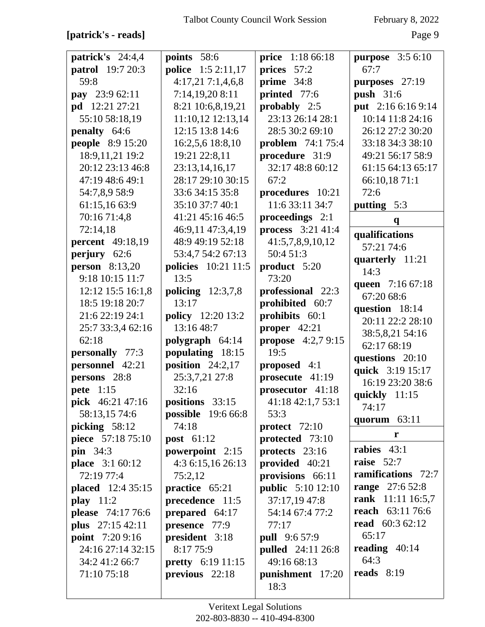**[patrick's - reads]** Page 9

| patrick's 24:4,4         | points 58:6               | <b>price</b> 1:18 66:18   | <b>purpose</b> 3:5 6:10        |
|--------------------------|---------------------------|---------------------------|--------------------------------|
| <b>patrol</b> 19:7 20:3  | <b>police</b> 1:5 2:11,17 | prices 57:2               | 67:7                           |
| 59:8                     | 4:17,21 7:1,4,6,8         | prime $34:8$              | purposes 27:19                 |
| pay 23:9 62:11           | 7:14,19,20 8:11           | printed 77:6              | <b>push</b> 31:6               |
| <b>pd</b> 12:21 27:21    | 8:21 10:6,8,19,21         | probably 2:5              | put 2:16 6:16 9:14             |
| 55:10 58:18,19           | 11:10,12 12:13,14         | 23:13 26:14 28:1          | 10:14 11:8 24:16               |
| penalty 64:6             | 12:15 13:8 14:6           | 28:5 30:2 69:10           | 26:12 27:2 30:20               |
| <b>people</b> 8:9 15:20  | 16:2,5,6 18:8,10          | <b>problem</b> 74:1 75:4  | 33:18 34:3 38:10               |
| 18:9,11,21 19:2          | 19:21 22:8,11             | procedure 31:9            | 49:21 56:17 58:9               |
| 20:12 23:13 46:8         | 23:13,14,16,17            | 32:17 48:8 60:12          | 61:15 64:13 65:17              |
| 47:19 48:6 49:1          | 28:17 29:10 30:15         | 67:2                      | 66:10,18 71:1                  |
| 54:7,8,9 58:9            | 33:6 34:15 35:8           | procedures 10:21          | 72:6                           |
| 61:15,16 63:9            | 35:10 37:7 40:1           | 11:6 33:11 34:7           | putting $5:3$                  |
| 70:16 71:4,8             | 41:21 45:16 46:5          | proceedings 2:1           | $\mathbf{q}$                   |
| 72:14,18                 | 46:9,11 47:3,4,19         | process 3:21 41:4         |                                |
| <b>percent</b> 49:18,19  | 48:9 49:19 52:18          | 41:5,7,8,9,10,12          | qualifications<br>57:21 74:6   |
| perjury 62:6             | 53:4,7 54:2 67:13         | 50:4 51:3                 |                                |
| person $8:13,20$         | policies 10:21 11:5       | product 5:20              | quarterly 11:21<br>14:3        |
| 9:18 10:15 11:7          | 13:5                      | 73:20                     |                                |
| 12:12 15:5 16:1,8        | policing $12:3,7,8$       | professional 22:3         | queen 7:16 67:18               |
| 18:5 19:18 20:7          | 13:17                     | prohibited 60:7           | 67:20 68:6                     |
| 21:6 22:19 24:1          | <b>policy</b> 12:20 13:2  | prohibits 60:1            | question 18:14                 |
| 25:7 33:3,4 62:16        | 13:16 48:7                | proper $42:21$            | 20:11 22:2 28:10               |
| 62:18                    | polygraph 64:14           | <b>propose</b> 4:2,7 9:15 | 38:5,8,21 54:16<br>62:17 68:19 |
| personally 77:3          | populating 18:15          | 19:5                      |                                |
| personnel 42:21          | position $24:2,17$        | proposed 4:1              | questions 20:10                |
| persons 28:8             | 25:3,7,21 27:8            | prosecute 41:19           | quick 3:19 15:17               |
| pete 1:15                | 32:16                     | prosecutor 41:18          | 16:19 23:20 38:6               |
| pick 46:21 47:16         | positions 33:15           | 41:18 42:1,7 53:1         | quickly 11:15                  |
| 58:13,15 74:6            | <b>possible</b> 19:6 66:8 | 53:3                      | 74:17                          |
| picking 58:12            | 74:18                     | protect $72:10$           | quorum 63:11                   |
| piece 57:18 75:10        | post 61:12                | protected 73:10           | r                              |
| pin $34:3$               | powerpoint 2:15           | protects $23:16$          | rabies 43:1                    |
| <b>place</b> 3:1 60:12   | 4:3 6:15,16 26:13         | provided 40:21            | raise $52:7$                   |
| 72:19 77:4               | 75:2,12                   | provisions 66:11          | <b>ramifications</b> 72:7      |
| <b>placed</b> 12:4 35:15 | practice 65:21            | <b>public</b> 5:10 12:10  | <b>range</b> 27:6 52:8         |
| play $11:2$              | precedence 11:5           | 37:17,19 47:8             | rank 11:11 16:5,7              |
| please 74:17 76:6        | prepared $64:17$          | 54:14 67:4 77:2           | <b>reach</b> 63:11 76:6        |
| plus 27:15 42:11         | presence 77:9             | 77:17                     | read $60:362:12$               |
| <b>point</b> 7:20 9:16   | president 3:18            | <b>pull</b> 9:6 57:9      | 65:17                          |
| 24:16 27:14 32:15        | 8:17 75:9                 | <b>pulled</b> 24:11 26:8  | reading $40:14$                |
| 34:2 41:2 66:7           | <b>pretty</b> 6:19 11:15  | 49:16 68:13               | 64:3                           |
| 71:10 75:18              | previous 22:18            | punishment 17:20          | reads $8:19$                   |
|                          |                           | 18:3                      |                                |
|                          |                           |                           |                                |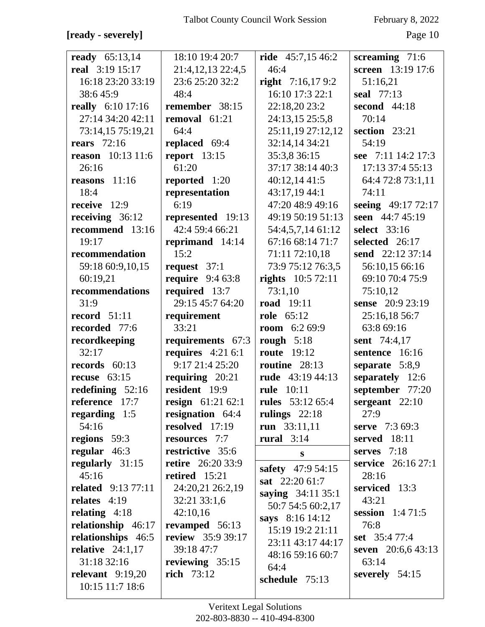### **[ready - severely]** Page 10

| ready $65:13,14$                     | 18:10 19:4 20:7                       | ride $45:7,1546:2$                         | screaming $71:6$          |
|--------------------------------------|---------------------------------------|--------------------------------------------|---------------------------|
| real 3:19 15:17                      | 21:4,12,13 22:4,5                     | 46:4                                       | screen 13:19 17:6         |
| 16:18 23:20 33:19                    | 23:6 25:20 32:2                       | right $7:16,179:2$                         | 51:16,21                  |
| 38:645:9                             | 48:4                                  | 16:10 17:3 22:1                            | seal 77:13                |
| really 6:10 17:16                    | remember 38:15                        | 22:18,20 23:2                              | second 44:18              |
| 27:14 34:20 42:11                    | removal 61:21                         | 24:13,15 25:5,8                            | 70:14                     |
| 73:14,15 75:19,21                    | 64:4                                  | 25:11,19 27:12,12                          | section 23:21             |
| <b>rears</b> 72:16                   | replaced 69:4                         | 32:14,14 34:21                             | 54:19                     |
| reason 10:13 11:6                    | report $13:15$                        | 35:3,8 36:15                               | see 7:11 14:2 17:3        |
| 26:16                                | 61:20                                 | 37:17 38:14 40:3                           | 17:13 37:4 55:13          |
| reasons $11:16$                      | reported 1:20                         | 40:12,14 41:5                              | 64:4 72:8 73:1,11         |
| 18:4                                 | representation                        | 43:17,19 44:1                              | 74:11                     |
| receive 12:9                         | 6:19                                  | 47:20 48:9 49:16                           | seeing 49:17 72:17        |
| receiving 36:12                      | represented 19:13                     | 49:19 50:19 51:13                          | seen 44:7 45:19           |
| recommend 13:16                      | 42:4 59:4 66:21                       | 54:4,5,7,14 61:12                          | select 33:16              |
| 19:17                                | reprimand 14:14                       | 67:16 68:14 71:7                           | selected 26:17            |
| recommendation                       | 15:2                                  | 71:11 72:10,18                             | send 22:12 37:14          |
| 59:18 60:9,10,15                     | request $37:1$                        | 73:9 75:12 76:3,5                          | 56:10,15 66:16            |
| 60:19,21                             | <b>require</b> 9:4 63:8               | <b>rights</b> $10:572:11$                  | 69:10 70:4 75:9           |
| recommendations                      | required 13:7                         | 73:1,10                                    | 75:10,12                  |
| 31:9                                 | 29:15 45:7 64:20                      | <b>road</b> 19:11                          | sense 20:9 23:19          |
| record $51:11$                       | requirement                           | <b>role</b> 65:12                          | 25:16,18 56:7             |
| recorded 77:6                        | 33:21                                 | <b>room</b> $6:269:9$                      | 63:8 69:16                |
| recordkeeping                        | requirements 67:3                     | rough $5:18$                               | <b>sent</b> 74:4,17       |
| 32:17                                | requires $4:216:1$                    | <b>route</b> 19:12                         | sentence 16:16            |
| records $60:13$                      | 9:17 21:4 25:20                       | routine 28:13                              | separate $5:8,9$          |
| recuse $63:15$                       | requiring $20:21$<br>resident 19:9    | rude 43:19 44:13                           | separately 12:6           |
| redefining $52:16$<br>reference 17:7 |                                       | <b>rule</b> 10:11                          | september 77:20           |
| regarding $1:5$                      | resign 61:21 62:1<br>resignation 64:4 | <b>rules</b> 53:12 65:4<br>rulings $22:18$ | sergeant $22:10$<br>27:9  |
| 54:16                                | resolved 17:19                        | run $33:11,11$                             | <b>serve</b> $7:369:3$    |
| regions 59:3                         | resources 7:7                         | rural $3:14$                               | <b>served</b> 18:11       |
| regular $46:3$                       | restrictive 35:6                      |                                            | serves $7:18$             |
| regularly 31:15                      | <b>retire</b> 26:20 33:9              | ${\bf S}$                                  | <b>service</b> 26:16 27:1 |
| 45:16                                | retired 15:21                         | safety 47:9 54:15                          | 28:16                     |
| <b>related</b> 9:13 77:11            | 24:20,21 26:2,19                      | sat $22:2061:7$                            | serviced 13:3             |
| relates $4:19$                       | 32:21 33:1,6                          | saying 34:11 35:1                          | 43:21                     |
| relating $4:18$                      | 42:10,16                              | 50:7 54:5 60:2,17                          | session $1:471:5$         |
| relationship 46:17                   | revamped $56:13$                      | says 8:16 14:12                            | 76:8                      |
| relationships 46:5                   | review 35:9 39:17                     | 15:19 19:2 21:11                           | set 35:477:4              |
| relative $24:1,17$                   | 39:18 47:7                            | 23:11 43:17 44:17                          | seven $20:6,643:13$       |
| 31:18 32:16                          | reviewing $35:15$                     | 48:16 59:16 60:7                           | 63:14                     |
| relevant $9:19,20$                   | <b>rich</b> 73:12                     | 64:4<br>schedule 75:13                     | severely 54:15            |
| 10:15 11:7 18:6                      |                                       |                                            |                           |
|                                      |                                       |                                            |                           |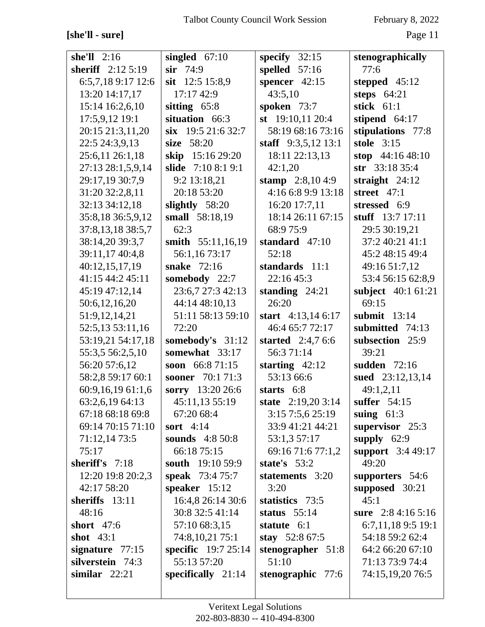### **[she'll - sure]** Page 11

| she'll $2:16$     | singled $67:10$             | specify $32:15$     | stenographically                  |
|-------------------|-----------------------------|---------------------|-----------------------------------|
| sheriff 2:12 5:19 | $\sin$ 74:9                 | spelled $57:16$     | 77:6                              |
| 6:5,7,189:1712:6  | sit 12:5 15:8,9             | spencer $42:15$     | stepped $45:12$                   |
| 13:20 14:17,17    | 17:17 42:9                  | 43:5,10             | steps $64:21$                     |
| 15:14 16:2,6,10   | sitting $65:8$              | spoken 73:7         | stick 61:1                        |
| 17:5,9,12 19:1    | situation 66:3              | st $19:10,1120:4$   | stipend 64:17                     |
|                   | $\sin$ 19:5 21:6 32:7       | 58:19 68:16 73:16   |                                   |
| 20:15 21:3,11,20  | size 58:20                  |                     | stipulations 77:8<br>stole $3:15$ |
| 22:5 24:3,9,13    |                             | staff 9:3,5,12 13:1 |                                   |
| 25:6,11 26:1,18   | skip 15:16 29:20            | 18:11 22:13,13      | stop $44:1648:10$                 |
| 27:13 28:1,5,9,14 | slide 7:10 8:1 9:1          | 42:1,20             | str 33:18 35:4                    |
| 29:17,19 30:7,9   | 9:2 13:18,21                | stamp $2:8,104:9$   | straight $24:12$                  |
| 31:20 32:2,8,11   | 20:18 53:20                 | 4:16 6:8 9:9 13:18  | street $47:1$                     |
| 32:13 34:12,18    | slightly 58:20              | 16:20 17:7,11       | stressed 6:9                      |
| 35:8,18 36:5,9,12 | small 58:18,19              | 18:14 26:11 67:15   | stuff $13:7 17:11$                |
| 37:8,13,18 38:5,7 | 62:3                        | 68:975:9            | 29:5 30:19,21                     |
| 38:14,20 39:3,7   | smith 55:11,16,19           | standard $47:10$    | 37:2 40:21 41:1                   |
| 39:11,17 40:4,8   | 56:1,16 73:17               | 52:18               | 45:2 48:15 49:4                   |
| 40:12,15,17,19    | snake 72:16                 | standards 11:1      | 49:16 51:7,12                     |
| 41:15 44:2 45:11  | somebody 22:7               | 22:16 45:3          | 53:4 56:15 62:8,9                 |
| 45:19 47:12,14    | 23:6,7 27:3 42:13           | standing $24:21$    | subject 40:1 61:21                |
| 50:6,12,16,20     | 44:14 48:10,13              | 26:20               | 69:15                             |
| 51:9,12,14,21     | 51:11 58:13 59:10           | start $4:13,146:17$ | submit $13:14$                    |
| 52:5,13 53:11,16  | 72:20                       | 46:4 65:7 72:17     | submitted 74:13                   |
| 53:19,21 54:17,18 | somebody's 31:12            | started $2:4,76:6$  | subsection 25:9                   |
| 55:3,5 56:2,5,10  | somewhat 33:17              | 56:3 71:14          | 39:21                             |
| 56:20 57:6,12     | soon $66:871:15$            | starting $42:12$    | sudden 72:16                      |
| 58:2,8 59:17 60:1 | sooner 70:1 71:3            | 53:13 66:6          | sued 23:12,13,14                  |
| 60:9,16,19 61:1,6 | sorry 13:20 26:6            | starts 6:8          | 49:1,2,11                         |
| 63:2,6,19 64:13   | 45:11,13 55:19              | state 2:19,20 3:14  | suffer 54:15                      |
| 67:18 68:18 69:8  | 67:20 68:4                  | 3:15 7:5,6 25:19    | suing $61:3$                      |
| 69:14 70:15 71:10 | sort $4:14$                 | 33:9 41:21 44:21    | supervisor 25:3                   |
| 71:12,14 73:5     | <b>sounds</b> 4:8 50:8      | 53:1,3 57:17        | supply $62:9$                     |
| 75:17             | 66:18 75:15                 | 69:16 71:6 77:1,2   | <b>support</b> 3:4 49:17          |
| sheriff's 7:18    | south 19:10 59:9            | state's $53:2$      | 49:20                             |
| 12:20 19:8 20:2,3 | <b>speak</b> 73:4 75:7      | statements 3:20     | supporters 54:6                   |
| 42:17 58:20       | speaker $15:12$             | 3:20                | supposed $30:21$                  |
| sheriffs 13:11    | 16:4,8 26:14 30:6           | statistics 73:5     | 45:1                              |
| 48:16             | 30:8 32:5 41:14             | status $55:14$      | sure $2:84:165:16$                |
| short $47:6$      | 57:10 68:3,15               | statute 6:1         | 6:7,11,189:519:1                  |
| shot $43:1$       | 74:8, 10, 21 75:1           | stay $52:867:5$     | 54:18 59:2 62:4                   |
| signature $77:15$ | <b>specific</b> $19:725:14$ | stenographer 51:8   | 64:2 66:20 67:10                  |
| silverstein 74:3  | 55:13 57:20                 | 51:10               | 71:13 73:9 74:4                   |
| similar $22:21$   | specifically $21:14$        | stenographic 77:6   | 74:15,19,20 76:5                  |
|                   |                             |                     |                                   |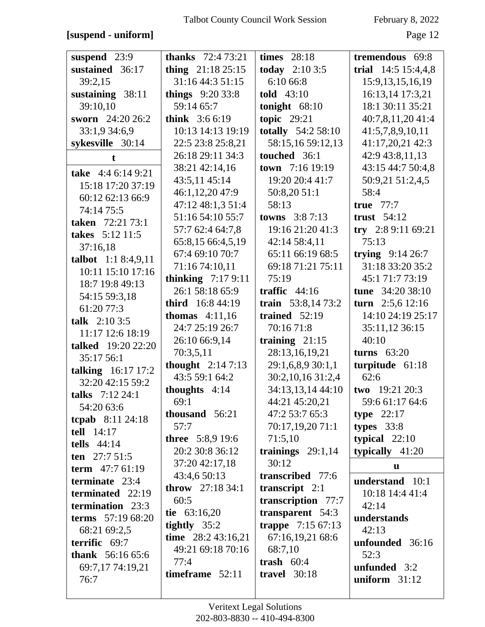### **[suspend - uniform]** Page 12

| suspend 23:9                      | <b>thanks</b> 72:4 73:21 | <b>times</b> 28:18        | tremendous 69:8      |
|-----------------------------------|--------------------------|---------------------------|----------------------|
| sustained 36:17                   | thing $21:1825:15$       | <b>today</b> $2:103:5$    | trial 14:5 15:4,4,8  |
| 39:2,15                           | 31:16 44:3 51:15         | 6:10 66:8                 | 15:9, 13, 15, 16, 19 |
| sustaining 38:11                  | things $9:2033:8$        | told 43:10                | 16:13,14 17:3,21     |
| 39:10,10                          | 59:14 65:7               | tonight $68:10$           | 18:1 30:11 35:21     |
| sworn 24:20 26:2                  | <b>think</b> $3:66:19$   | topic $29:21$             | 40:7,8,11,20 41:4    |
| 33:1,9 34:6,9                     | 10:13 14:13 19:19        | <b>totally</b> 54:2 58:10 | 41:5,7,8,9,10,11     |
| sykesville 30:14                  | 22:5 23:8 25:8,21        | 58:15,16 59:12,13         | 41:17,20,21 42:3     |
| t.                                | 26:18 29:11 34:3         | touched 36:1              | 42:9 43:8,11,13      |
| take 4:4 6:14 9:21                | 38:21 42:14,16           | town 7:16 19:19           | 43:15 44:7 50:4,8    |
|                                   | 43:5,11 45:14            | 19:20 20:4 41:7           | 50:9,21 51:2,4,5     |
| 15:18 17:20 37:19                 | 46:1,12,20 47:9          | 50:8,20 51:1              | 58:4                 |
| 60:12 62:13 66:9<br>74:14 75:5    | 47:12 48:1,3 51:4        | 58:13                     | true $77:7$          |
| <b>taken</b> 72:21 73:1           | 51:16 54:10 55:7         | <b>towns</b> $3:87:13$    | trust $54:12$        |
| takes 5:12 11:5                   | 57:7 62:4 64:7,8         | 19:16 21:20 41:3          | try 2:8 9:11 69:21   |
| 37:16,18                          | 65:8,15 66:4,5,19        | 42:14 58:4,11             | 75:13                |
| talbot $1:18:4,9,11$              | 67:4 69:10 70:7          | 65:11 66:19 68:5          | trying $9:14\,26:7$  |
|                                   | 71:16 74:10,11           | 69:18 71:21 75:11         | 31:18 33:20 35:2     |
| 10:11 15:10 17:16                 | thinking $7:179:11$      | 75:19                     | 45:1 71:7 73:19      |
| 18:7 19:8 49:13                   | 26:1 58:18 65:9          | traffic $44:16$           | tune 34:20 38:10     |
| 54:15 59:3,18                     | third 16:8 44:19         | train $53:8,1473:2$       | turn $2:5,6$ 12:16   |
| 61:20 77:3                        | <b>thomas</b> $4:11,16$  | trained $52:19$           | 14:10 24:19 25:17    |
| talk $2:103:5$                    | 24:7 25:19 26:7          | 70:16 71:8                | 35:11,12 36:15       |
| 11:17 12:6 18:19                  | 26:10 66:9,14            | training $21:15$          | 40:10                |
| talked 19:20 22:20                | 70:3,5,11                | 28:13,16,19,21            | turns $63:20$        |
| 35:17 56:1                        | thought $2:147:13$       | 29:1,6,8,9 30:1,1         | turpitude 61:18      |
| talking 16:17 17:2                | 43:5 59:1 64:2           | 30:2,10,16 31:2,4         | 62:6                 |
| 32:20 42:15 59:2                  | thoughts $4:14$          | 34:13,13,14 44:10         | two $19:2120:3$      |
| talks 7:12 24:1                   | 69:1                     | 44:21 45:20,21            | 59:6 61:17 64:6      |
| 54:20 63:6                        | thousand 56:21           | 47:2 53:7 65:3            | type $22:17$         |
| <b>tcpab</b> 8:11 24:18           | 57:7                     | 70:17,19,20 71:1          | types $33:8$         |
| tell 14:17                        | <b>three</b> 5:8,9 19:6  | 71:5,10                   | typical $22:10$      |
| tells $44:14$                     | 20:2 30:8 36:12          | trainings $29:1,14$       | typically $41:20$    |
| ten $27:751:5$                    | 37:20 42:17,18           | 30:12                     | u                    |
| term 47:7 61:19<br>terminate 23:4 | 43:4,6 50:13             | transcribed 77:6          | understand 10:1      |
| terminated 22:19                  | <b>throw</b> $27:1834:1$ | transcript $2:1$          | 10:18 14:4 41:4      |
| termination 23:3                  | 60:5                     | transcription 77:7        | 42:14                |
| terms 57:19 68:20                 | tie $63:16,20$           | transparent 54:3          | understands          |
|                                   | tightly $35:2$           | trappe 7:15 67:13         | 42:13                |
| 68:21 69:2,5<br>terrific 69:7     | time $28:243:16,21$      | 67:16,19,21 68:6          |                      |
|                                   | 49:21 69:18 70:16        | 68:7,10                   | unfounded 36:16      |
| <b>thank</b> $56:1665:6$          | 77:4                     | trash $60:4$              | 52:3                 |
| 69:7,17 74:19,21                  | timeframe $52:11$        | travel $30:18$            | unfunded 3:2         |
| 76:7                              |                          |                           | uniform $31:12$      |